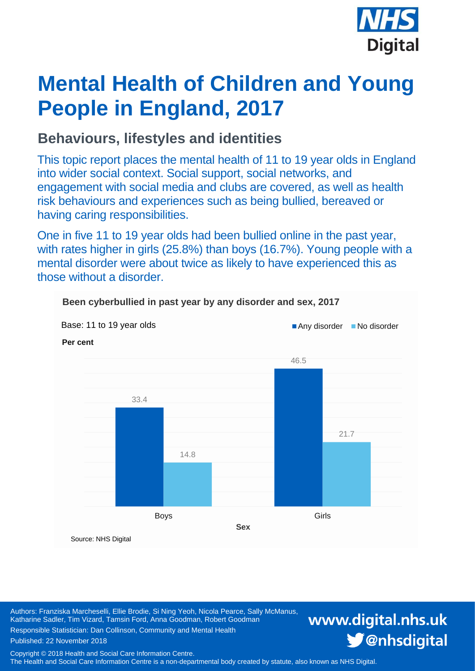

# **Mental Health of Children and Young People in England, 2017**

### **Behaviours, lifestyles and identities**

This topic report places the mental health of 11 to 19 year olds in England into wider social context. Social support, social networks, and engagement with social media and clubs are covered, as well as health risk behaviours and experiences such as being bullied, bereaved or having caring responsibilities.

One in five 11 to 19 year olds had been bullied online in the past year, with rates higher in girls (25.8%) than boys (16.7%). Young people with a mental disorder were about twice as likely to have experienced this as those without a disorder.



**Been cyberbullied in past year by any disorder and sex, 2017**

Authors: Franziska Marcheselli, Ellie Brodie, Si Ning Yeoh, Nicola Pearce, Sally McManus, Katharine Sadler, Tim Vizard, Tamsin Ford, Anna Goodman, Robert Goodman Responsible Statistician: Dan Collinson, Community and Mental Health

## www.digital.nhs.uk S @nhsdigital

Copyright © 2018 Health and Social Care Information Centre.

Published: 22 November 2018

The Health and Social Care Information Centre is a non-departmental body created by statute, also known as NHS Digital.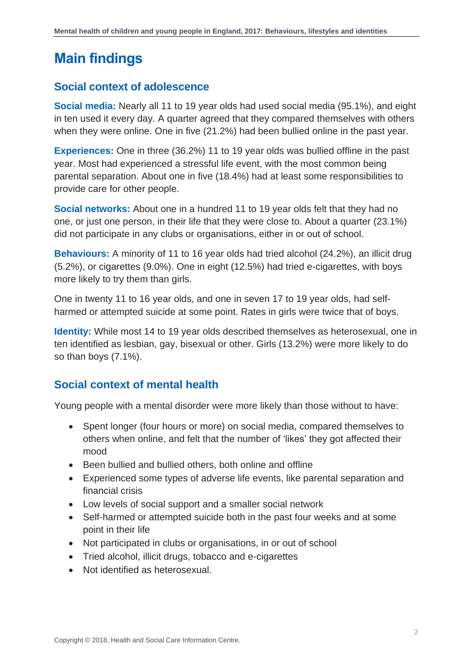### <span id="page-1-0"></span>**Main findings**

### **Social context of adolescence**

**Social media:** Nearly all 11 to 19 year olds had used social media (95.1%), and eight in ten used it every day. A quarter agreed that they compared themselves with others when they were online. One in five (21.2%) had been bullied online in the past year.

**Experiences:** One in three (36.2%) 11 to 19 year olds was bullied offline in the past year. Most had experienced a stressful life event, with the most common being parental separation. About one in five (18.4%) had at least some responsibilities to provide care for other people.

**Social networks:** About one in a hundred 11 to 19 year olds felt that they had no one, or just one person, in their life that they were close to. About a quarter (23.1%) did not participate in any clubs or organisations, either in or out of school.

**Behaviours:** A minority of 11 to 16 year olds had tried alcohol (24.2%), an illicit drug (5.2%), or cigarettes (9.0%). One in eight (12.5%) had tried e-cigarettes, with boys more likely to try them than girls.

One in twenty 11 to 16 year olds, and one in seven 17 to 19 year olds, had selfharmed or attempted suicide at some point. Rates in girls were twice that of boys.

**Identity:** While most 14 to 19 year olds described themselves as heterosexual, one in ten identified as lesbian, gay, bisexual or other. Girls (13.2%) were more likely to do so than boys (7.1%).

### **Social context of mental health**

Young people with a mental disorder were more likely than those without to have:

- Spent longer (four hours or more) on social media, compared themselves to others when online, and felt that the number of 'likes' they got affected their mood
- Been bullied and bullied others, both online and offline
- Experienced some types of adverse life events, like parental separation and financial crisis
- Low levels of social support and a smaller social network
- Self-harmed or attempted suicide both in the past four weeks and at some point in their life
- Not participated in clubs or organisations, in or out of school
- Tried alcohol, illicit drugs, tobacco and e-cigarettes
- Not identified as heterosexual.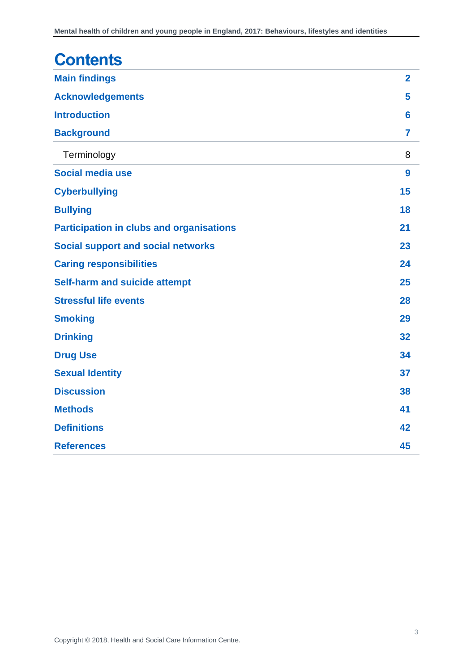| <b>Contents</b>                                 |                |
|-------------------------------------------------|----------------|
| <b>Main findings</b>                            | $\overline{2}$ |
| <b>Acknowledgements</b>                         | 5              |
| <b>Introduction</b>                             | 6              |
| <b>Background</b>                               | 7              |
| Terminology                                     | 8              |
| Social media use                                | 9              |
| <b>Cyberbullying</b>                            | 15             |
| <b>Bullying</b>                                 | 18             |
| <b>Participation in clubs and organisations</b> | 21             |
| <b>Social support and social networks</b>       | 23             |
| <b>Caring responsibilities</b>                  | 24             |
| <b>Self-harm and suicide attempt</b>            | 25             |
| <b>Stressful life events</b>                    | 28             |
| <b>Smoking</b>                                  | 29             |
| <b>Drinking</b>                                 | 32             |
| <b>Drug Use</b>                                 | 34             |
| <b>Sexual Identity</b>                          | 37             |
| <b>Discussion</b>                               | 38             |
| <b>Methods</b>                                  | 41             |
| <b>Definitions</b>                              | 42             |
| <b>References</b>                               | 45             |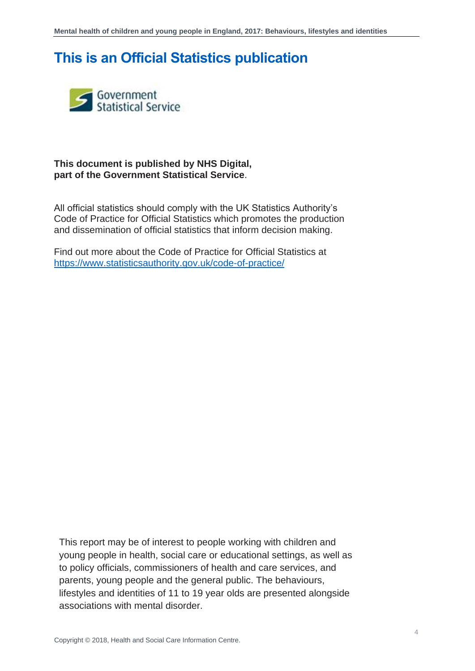### **This is an Official Statistics publication**



#### **This document is published by NHS Digital, part of the Government Statistical Service**.

All official statistics should comply with the UK Statistics Authority's Code of Practice for Official Statistics which promotes the production and dissemination of official statistics that inform decision making.

Find out more about the Code of Practice for Official Statistics at <https://www.statisticsauthority.gov.uk/code-of-practice/>

This report may be of interest to people working with children and young people in health, social care or educational settings, as well as to policy officials, commissioners of health and care services, and parents, young people and the general public. The behaviours, lifestyles and identities of 11 to 19 year olds are presented alongside associations with mental disorder.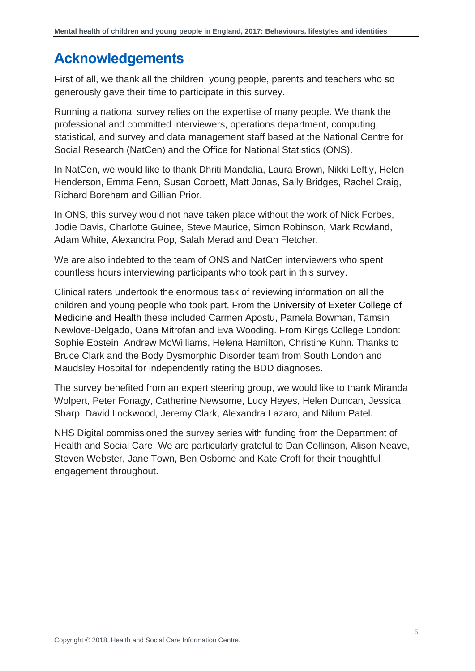### <span id="page-4-0"></span>**Acknowledgements**

First of all, we thank all the children, young people, parents and teachers who so generously gave their time to participate in this survey.

Running a national survey relies on the expertise of many people. We thank the professional and committed interviewers, operations department, computing, statistical, and survey and data management staff based at the National Centre for Social Research (NatCen) and the Office for National Statistics (ONS).

In NatCen, we would like to thank Dhriti Mandalia, Laura Brown, Nikki Leftly, Helen Henderson, Emma Fenn, Susan Corbett, Matt Jonas, Sally Bridges, Rachel Craig, Richard Boreham and Gillian Prior.

In ONS, this survey would not have taken place without the work of Nick Forbes, Jodie Davis, Charlotte Guinee, Steve Maurice, Simon Robinson, Mark Rowland, Adam White, Alexandra Pop, Salah Merad and Dean Fletcher.

We are also indebted to the team of ONS and NatCen interviewers who spent countless hours interviewing participants who took part in this survey.

Clinical raters undertook the enormous task of reviewing information on all the children and young people who took part. From the University of Exeter College of Medicine and Health these included Carmen Apostu, Pamela Bowman, Tamsin Newlove-Delgado, Oana Mitrofan and Eva Wooding. From Kings College London: Sophie Epstein, Andrew McWilliams, Helena Hamilton, Christine Kuhn. Thanks to Bruce Clark and the Body Dysmorphic Disorder team from South London and Maudsley Hospital for independently rating the BDD diagnoses.

The survey benefited from an expert steering group, we would like to thank Miranda Wolpert, Peter Fonagy, Catherine Newsome, Lucy Heyes, Helen Duncan, Jessica Sharp, David Lockwood, Jeremy Clark, Alexandra Lazaro, and Nilum Patel.

NHS Digital commissioned the survey series with funding from the Department of Health and Social Care. We are particularly grateful to Dan Collinson, Alison Neave, Steven Webster, Jane Town, Ben Osborne and Kate Croft for their thoughtful engagement throughout.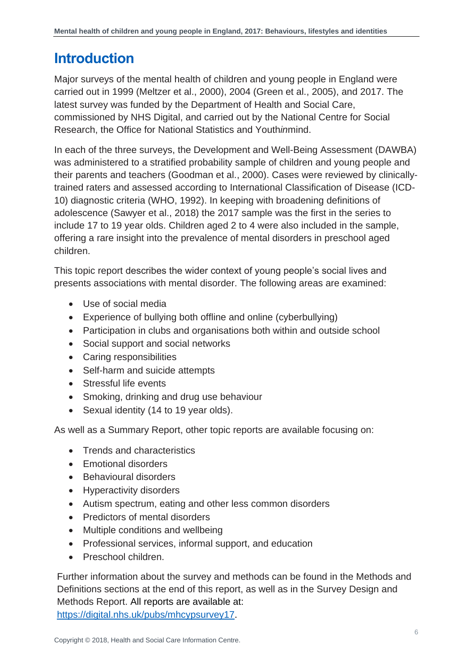### <span id="page-5-0"></span>**Introduction**

Major surveys of the mental health of children and young people in England were carried out in 1999 (Meltzer et al., 2000), 2004 (Green et al., 2005), and 2017. The latest survey was funded by the Department of Health and Social Care, commissioned by NHS Digital, and carried out by the National Centre for Social Research, the Office for National Statistics and Youth*in*mind.

In each of the three surveys, the Development and Well-Being Assessment (DAWBA) was administered to a stratified probability sample of children and young people and their parents and teachers (Goodman et al., 2000). Cases were reviewed by clinicallytrained raters and assessed according to International Classification of Disease (ICD-10) diagnostic criteria (WHO, 1992). In keeping with broadening definitions of adolescence (Sawyer et al., 2018) the 2017 sample was the first in the series to include 17 to 19 year olds. Children aged 2 to 4 were also included in the sample, offering a rare insight into the prevalence of mental disorders in preschool aged children.

This topic report describes the wider context of young people's social lives and presents associations with mental disorder. The following areas are examined:

- Use of social media
- Experience of bullying both offline and online (cyberbullying)
- Participation in clubs and organisations both within and outside school
- Social support and social networks
- Caring responsibilities
- Self-harm and suicide attempts
- Stressful life events
- Smoking, drinking and drug use behaviour
- Sexual identity (14 to 19 year olds).

As well as a Summary Report, other topic reports are available focusing on:

- Trends and characteristics
- Emotional disorders
- Behavioural disorders
- Hyperactivity disorders
- Autism spectrum, eating and other less common disorders
- Predictors of mental disorders
- Multiple conditions and wellbeing
- Professional services, informal support, and education
- Preschool children.

Further information about the survey and methods can be found in the Methods and Definitions sections at the end of this report, as well as in the Survey Design and Methods Report. All reports are available at: [https://digital.nhs.uk/pubs/mhcypsurvey17.](https://digital.nhs.uk/pubs/mhcypsurvey17)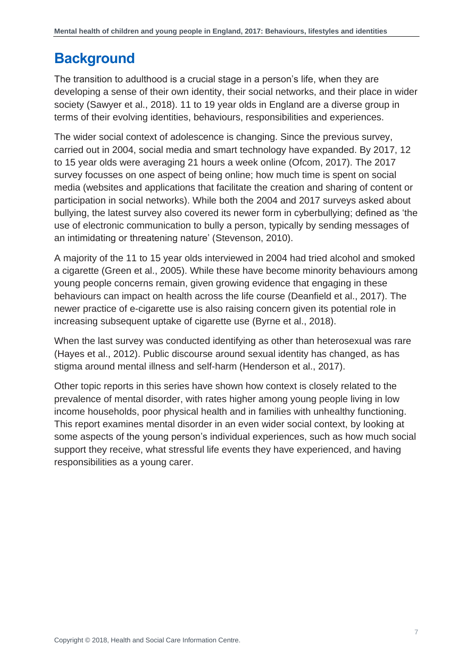### <span id="page-6-0"></span>**Background**

The transition to adulthood is a crucial stage in a person's life, when they are developing a sense of their own identity, their social networks, and their place in wider society (Sawyer et al., 2018). 11 to 19 year olds in England are a diverse group in terms of their evolving identities, behaviours, responsibilities and experiences.

The wider social context of adolescence is changing. Since the previous survey, carried out in 2004, social media and smart technology have expanded. By 2017, 12 to 15 year olds were averaging 21 hours a week online (Ofcom, 2017). The 2017 survey focusses on one aspect of being online; how much time is spent on social media (websites and applications that facilitate the creation and sharing of content or participation in social networks). While both the 2004 and 2017 surveys asked about bullying, the latest survey also covered its newer form in cyberbullying; defined as 'the use of electronic communication to bully a person, typically by sending messages of an intimidating or threatening nature' (Stevenson, 2010).

A majority of the 11 to 15 year olds interviewed in 2004 had tried alcohol and smoked a cigarette (Green et al., 2005). While these have become minority behaviours among young people concerns remain, given growing evidence that engaging in these behaviours can impact on health across the life course (Deanfield et al., 2017). The newer practice of e-cigarette use is also raising concern given its potential role in increasing subsequent uptake of cigarette use (Byrne et al., 2018).

When the last survey was conducted identifying as other than heterosexual was rare (Hayes et al., 2012). Public discourse around sexual identity has changed, as has stigma around mental illness and self-harm (Henderson et al., 2017).

Other topic reports in this series have shown how context is closely related to the prevalence of mental disorder, with rates higher among young people living in low income households, poor physical health and in families with unhealthy functioning. This report examines mental disorder in an even wider social context, by looking at some aspects of the young person's individual experiences, such as how much social support they receive, what stressful life events they have experienced, and having responsibilities as a young carer.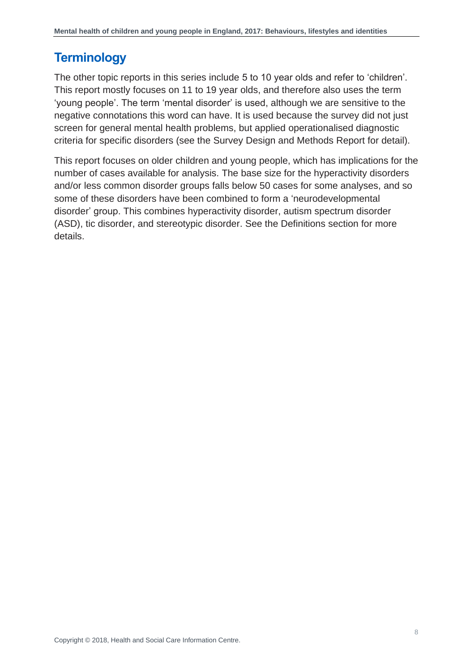### <span id="page-7-0"></span>**Terminology**

The other topic reports in this series include 5 to 10 year olds and refer to 'children'. This report mostly focuses on 11 to 19 year olds, and therefore also uses the term 'young people'. The term 'mental disorder' is used, although we are sensitive to the negative connotations this word can have. It is used because the survey did not just screen for general mental health problems, but applied operationalised diagnostic criteria for specific disorders (see the Survey Design and Methods Report for detail).

This report focuses on older children and young people, which has implications for the number of cases available for analysis. The base size for the hyperactivity disorders and/or less common disorder groups falls below 50 cases for some analyses, and so some of these disorders have been combined to form a 'neurodevelopmental disorder' group. This combines hyperactivity disorder, autism spectrum disorder (ASD), tic disorder, and stereotypic disorder. See the Definitions section for more details.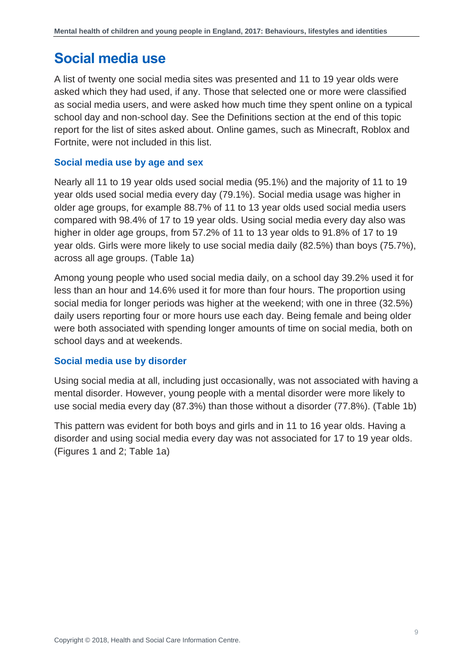### <span id="page-8-0"></span>**Social media use**

A list of twenty one social media sites was presented and 11 to 19 year olds were asked which they had used, if any. Those that selected one or more were classified as social media users, and were asked how much time they spent online on a typical school day and non-school day. See the Definitions section at the end of this topic report for the list of sites asked about. Online games, such as Minecraft, Roblox and Fortnite, were not included in this list.

### **Social media use by age and sex**

Nearly all 11 to 19 year olds used social media (95.1%) and the majority of 11 to 19 year olds used social media every day (79.1%). Social media usage was higher in older age groups, for example 88.7% of 11 to 13 year olds used social media users compared with 98.4% of 17 to 19 year olds. Using social media every day also was higher in older age groups, from 57.2% of 11 to 13 year olds to 91.8% of 17 to 19 year olds. Girls were more likely to use social media daily (82.5%) than boys (75.7%), across all age groups. (Table 1a)

Among young people who used social media daily, on a school day 39.2% used it for less than an hour and 14.6% used it for more than four hours. The proportion using social media for longer periods was higher at the weekend; with one in three (32.5%) daily users reporting four or more hours use each day. Being female and being older were both associated with spending longer amounts of time on social media, both on school days and at weekends.

### **Social media use by disorder**

Using social media at all, including just occasionally, was not associated with having a mental disorder. However, young people with a mental disorder were more likely to use social media every day (87.3%) than those without a disorder (77.8%). (Table 1b)

This pattern was evident for both boys and girls and in 11 to 16 year olds. Having a disorder and using social media every day was not associated for 17 to 19 year olds. (Figures 1 and 2; Table 1a)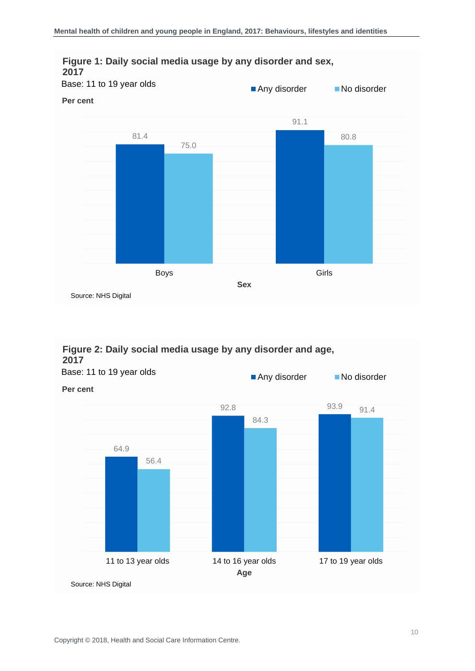

### **Figure 2: Daily social media usage by any disorder and age, 2017**



Any disorder No disorder Base: 11 to 19 year olds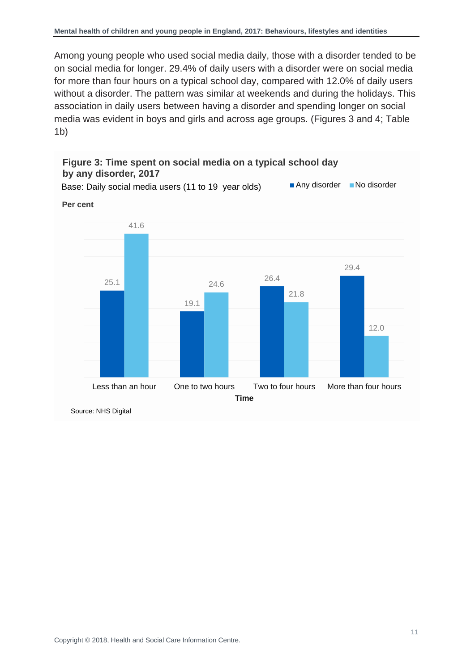Among young people who used social media daily, those with a disorder tended to be on social media for longer. 29.4% of daily users with a disorder were on social media for more than four hours on a typical school day, compared with 12.0% of daily users without a disorder. The pattern was similar at weekends and during the holidays. This association in daily users between having a disorder and spending longer on social media was evident in boys and girls and across age groups. (Figures 3 and 4; Table 1b)

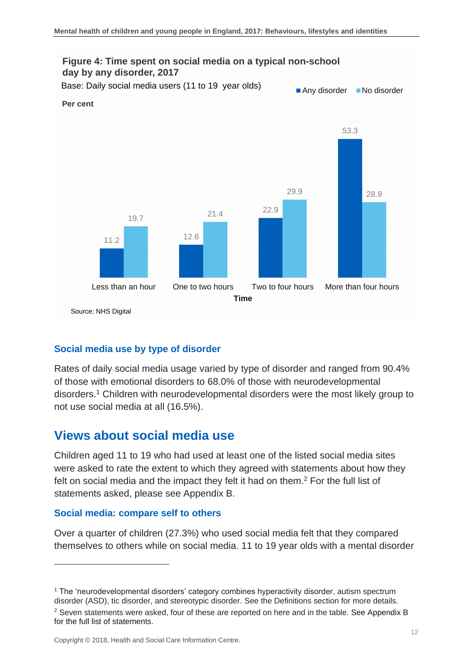

### **Social media use by type of disorder**

Rates of daily social media usage varied by type of disorder and ranged from 90.4% of those with emotional disorders to 68.0% of those with neurodevelopmental disorders.<sup>1</sup> Children with neurodevelopmental disorders were the most likely group to not use social media at all (16.5%).

### **Views about social media use**

Children aged 11 to 19 who had used at least one of the listed social media sites were asked to rate the extent to which they agreed with statements about how they felt on social media and the impact they felt it had on them.<sup>2</sup> For the full list of statements asked, please see Appendix B.

#### **Social media: compare self to others**

l

Over a quarter of children (27.3%) who used social media felt that they compared themselves to others while on social media. 11 to 19 year olds with a mental disorder

<sup>&</sup>lt;sup>1</sup> The 'neurodevelopmental disorders' category combines hyperactivity disorder, autism spectrum disorder (ASD), tic disorder, and stereotypic disorder. See the Definitions section for more details.

<sup>&</sup>lt;sup>2</sup> Seven statements were asked, four of these are reported on here and in the table. See Appendix B for the full list of statements.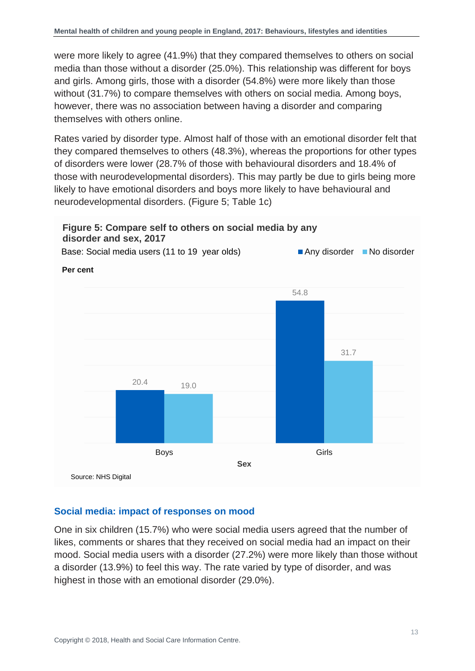were more likely to agree (41.9%) that they compared themselves to others on social media than those without a disorder (25.0%). This relationship was different for boys and girls. Among girls, those with a disorder (54.8%) were more likely than those without (31.7%) to compare themselves with others on social media. Among boys, however, there was no association between having a disorder and comparing themselves with others online.

Rates varied by disorder type. Almost half of those with an emotional disorder felt that they compared themselves to others (48.3%), whereas the proportions for other types of disorders were lower (28.7% of those with behavioural disorders and 18.4% of those with neurodevelopmental disorders). This may partly be due to girls being more likely to have emotional disorders and boys more likely to have behavioural and neurodevelopmental disorders. (Figure 5; Table 1c)

### **Figure 5: Compare self to others on social media by any disorder and sex, 2017**

**Per cent** Any disorder No disorder Base: Social media users (11 to 19 year olds)



### **Social media: impact of responses on mood**

One in six children (15.7%) who were social media users agreed that the number of likes, comments or shares that they received on social media had an impact on their mood. Social media users with a disorder (27.2%) were more likely than those without a disorder (13.9%) to feel this way. The rate varied by type of disorder, and was highest in those with an emotional disorder (29.0%).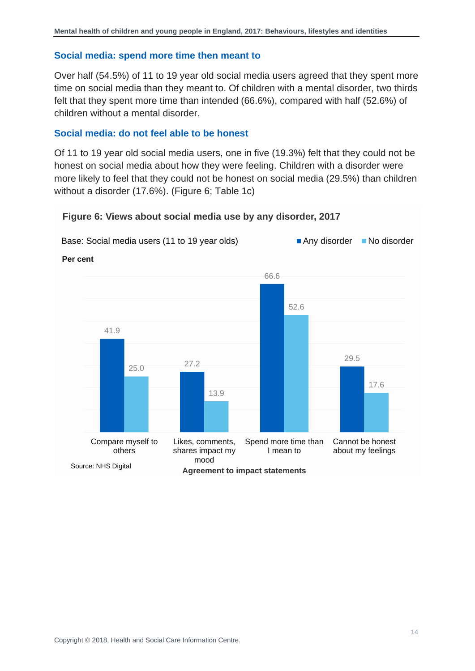#### **Social media: spend more time then meant to**

Over half (54.5%) of 11 to 19 year old social media users agreed that they spent more time on social media than they meant to. Of children with a mental disorder, two thirds felt that they spent more time than intended (66.6%), compared with half (52.6%) of children without a mental disorder.

### **Social media: do not feel able to be honest**

Of 11 to 19 year old social media users, one in five (19.3%) felt that they could not be honest on social media about how they were feeling. Children with a disorder were more likely to feel that they could not be honest on social media (29.5%) than children without a disorder (17.6%). (Figure 6; Table 1c)

#### **Figure 6: Views about social media use by any disorder, 2017**

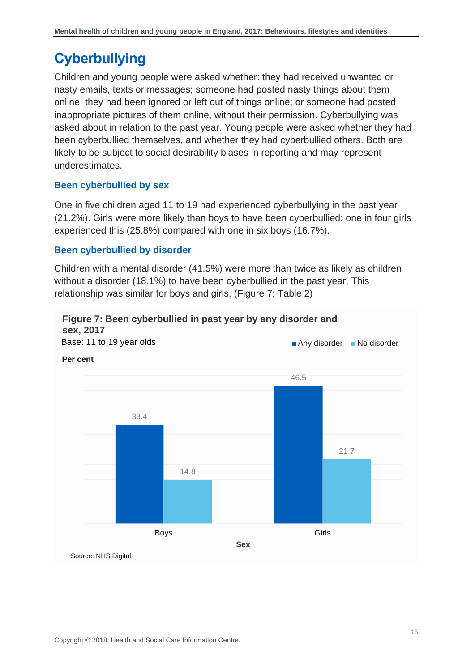### <span id="page-14-0"></span>**Cyberbullying**

Children and young people were asked whether: they had received unwanted or nasty emails, texts or messages; someone had posted nasty things about them online; they had been ignored or left out of things online; or someone had posted inappropriate pictures of them online, without their permission. Cyberbullying was asked about in relation to the past year. Young people were asked whether they had been cyberbullied themselves, and whether they had cyberbullied others. Both are likely to be subject to social desirability biases in reporting and may represent underestimates.

### **Been cyberbullied by sex**

One in five children aged 11 to 19 had experienced cyberbullying in the past year (21.2%). Girls were more likely than boys to have been cyberbullied: one in four girls experienced this (25.8%) compared with one in six boys (16.7%).

### **Been cyberbullied by disorder**

Children with a mental disorder (41.5%) were more than twice as likely as children without a disorder (18.1%) to have been cyberbullied in the past year. This relationship was similar for boys and girls. (Figure 7; Table 2)

#### **Figure 7: Been cyberbullied in past year by any disorder and sex, 2017**

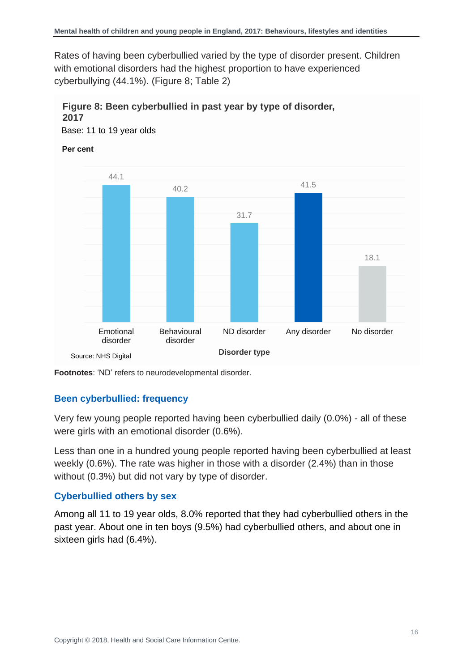Rates of having been cyberbullied varied by the type of disorder present. Children with emotional disorders had the highest proportion to have experienced cyberbullying (44.1%). (Figure 8; Table 2)

### **Figure 8: Been cyberbullied in past year by type of disorder, 2017**

Base: 11 to 19 year olds

#### **Per cent**



**Footnotes**: 'ND' refers to neurodevelopmental disorder.

### **Been cyberbullied: frequency**

Very few young people reported having been cyberbullied daily (0.0%) - all of these were girls with an emotional disorder (0.6%).

Less than one in a hundred young people reported having been cyberbullied at least weekly (0.6%). The rate was higher in those with a disorder (2.4%) than in those without (0.3%) but did not vary by type of disorder.

### **Cyberbullied others by sex**

Among all 11 to 19 year olds, 8.0% reported that they had cyberbullied others in the past year. About one in ten boys (9.5%) had cyberbullied others, and about one in sixteen girls had (6.4%).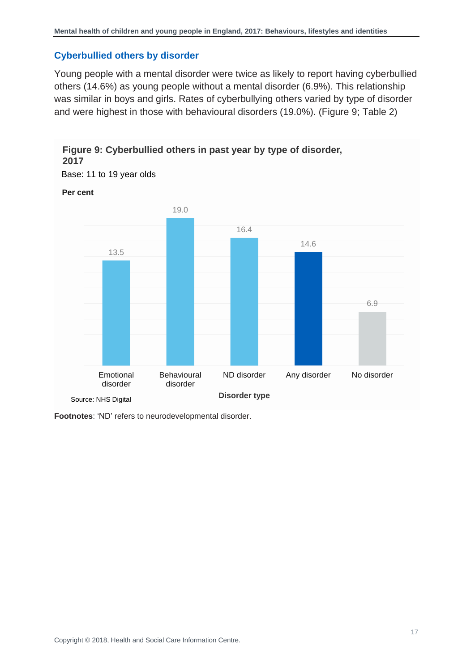### **Cyberbullied others by disorder**

Young people with a mental disorder were twice as likely to report having cyberbullied others (14.6%) as young people without a mental disorder (6.9%). This relationship was similar in boys and girls. Rates of cyberbullying others varied by type of disorder and were highest in those with behavioural disorders (19.0%). (Figure 9; Table 2)

### **Figure 9: Cyberbullied others in past year by type of disorder, 2017**

Base: 11 to 19 year olds

#### **Per cent**



**Footnotes**: 'ND' refers to neurodevelopmental disorder.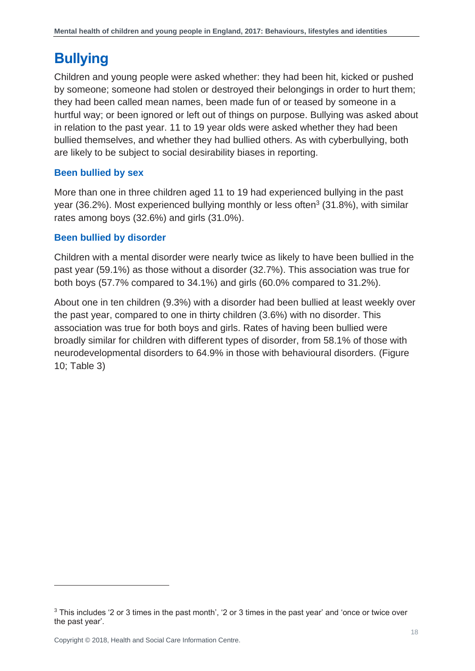### <span id="page-17-0"></span>**Bullying**

Children and young people were asked whether: they had been hit, kicked or pushed by someone; someone had stolen or destroyed their belongings in order to hurt them; they had been called mean names, been made fun of or teased by someone in a hurtful way; or been ignored or left out of things on purpose. Bullying was asked about in relation to the past year. 11 to 19 year olds were asked whether they had been bullied themselves, and whether they had bullied others. As with cyberbullying, both are likely to be subject to social desirability biases in reporting.

### **Been bullied by sex**

More than one in three children aged 11 to 19 had experienced bullying in the past year (36.2%). Most experienced bullying monthly or less often<sup>3</sup> (31.8%), with similar rates among boys (32.6%) and girls (31.0%).

### **Been bullied by disorder**

Children with a mental disorder were nearly twice as likely to have been bullied in the past year (59.1%) as those without a disorder (32.7%). This association was true for both boys (57.7% compared to 34.1%) and girls (60.0% compared to 31.2%).

About one in ten children (9.3%) with a disorder had been bullied at least weekly over the past year, compared to one in thirty children (3.6%) with no disorder. This association was true for both boys and girls. Rates of having been bullied were broadly similar for children with different types of disorder, from 58.1% of those with neurodevelopmental disorders to 64.9% in those with behavioural disorders. (Figure 10; Table 3)

l

<sup>3</sup> This includes '2 or 3 times in the past month', '2 or 3 times in the past year' and 'once or twice over the past year'.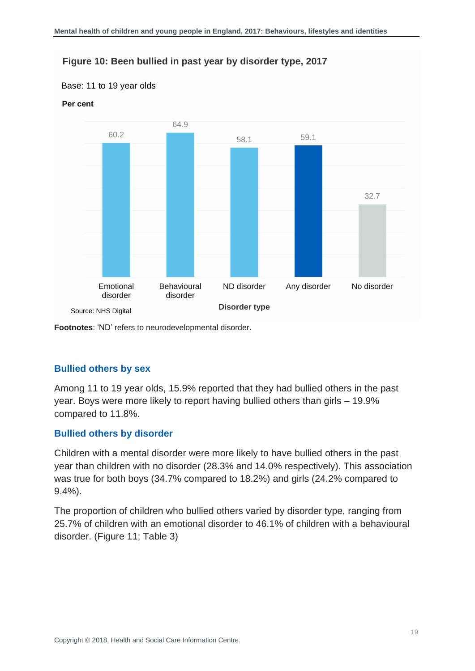#### **Figure 10: Been bullied in past year by disorder type, 2017**

#### Base: 11 to 19 year olds

#### **Per cent**



**Footnotes**: 'ND' refers to neurodevelopmental disorder.

### **Bullied others by sex**

Among 11 to 19 year olds, 15.9% reported that they had bullied others in the past year. Boys were more likely to report having bullied others than girls – 19.9% compared to 11.8%.

#### **Bullied others by disorder**

Children with a mental disorder were more likely to have bullied others in the past year than children with no disorder (28.3% and 14.0% respectively). This association was true for both boys (34.7% compared to 18.2%) and girls (24.2% compared to 9.4%).

The proportion of children who bullied others varied by disorder type, ranging from 25.7% of children with an emotional disorder to 46.1% of children with a behavioural disorder. (Figure 11: Table 3)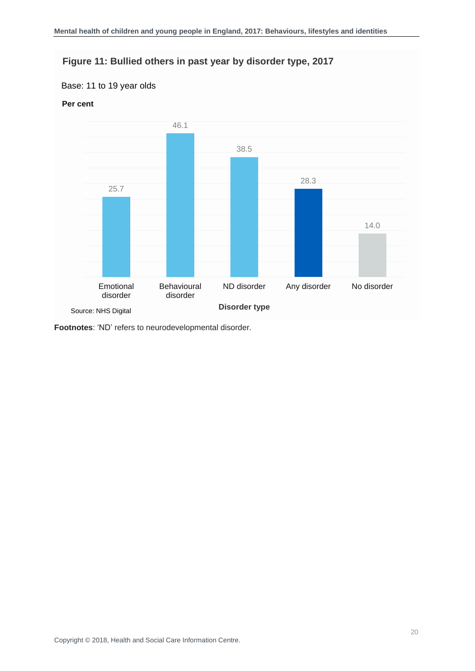### **Figure 11: Bullied others in past year by disorder type, 2017**

#### Base: 11 to 19 year olds

### **Per cent**



<span id="page-19-0"></span>**Footnotes**: 'ND' refers to neurodevelopmental disorder.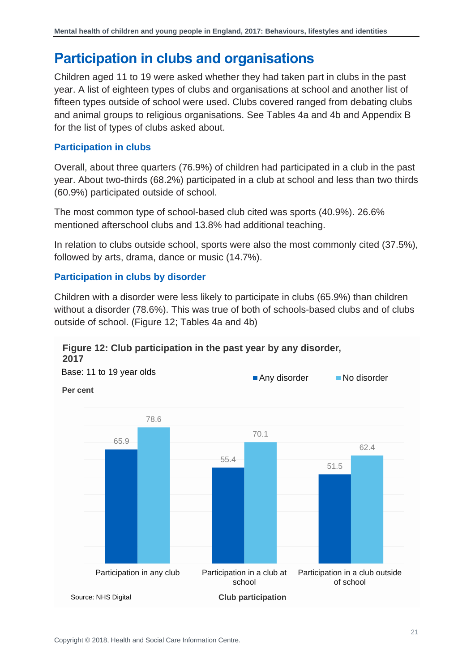### **Participation in clubs and organisations**

Children aged 11 to 19 were asked whether they had taken part in clubs in the past year. A list of eighteen types of clubs and organisations at school and another list of fifteen types outside of school were used. Clubs covered ranged from debating clubs and animal groups to religious organisations. See Tables 4a and 4b and Appendix B for the list of types of clubs asked about.

### **Participation in clubs**

Overall, about three quarters (76.9%) of children had participated in a club in the past year. About two-thirds (68.2%) participated in a club at school and less than two thirds (60.9%) participated outside of school.

The most common type of school-based club cited was sports (40.9%). 26.6% mentioned afterschool clubs and 13.8% had additional teaching.

In relation to clubs outside school, sports were also the most commonly cited (37.5%), followed by arts, drama, dance or music (14.7%).

### **Participation in clubs by disorder**

Children with a disorder were less likely to participate in clubs (65.9%) than children without a disorder (78.6%). This was true of both of schools-based clubs and of clubs outside of school. (Figure 12; Tables 4a and 4b)

#### **Figure 12: Club participation in the past year by any disorder, 2017**

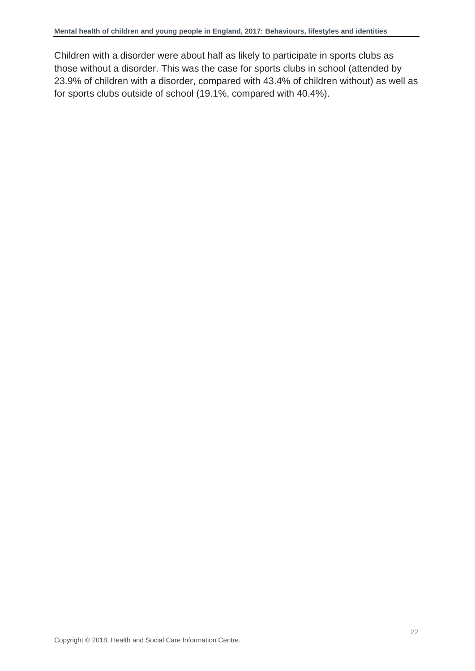<span id="page-21-0"></span>Children with a disorder were about half as likely to participate in sports clubs as those without a disorder. This was the case for sports clubs in school (attended by 23.9% of children with a disorder, compared with 43.4% of children without) as well as for sports clubs outside of school (19.1%, compared with 40.4%).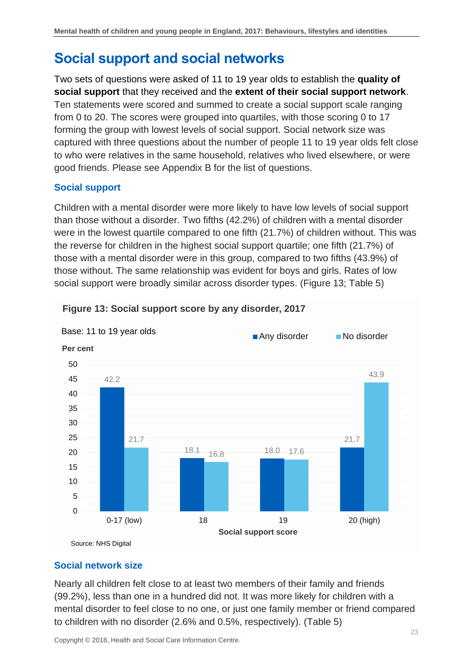### **Social support and social networks**

Two sets of questions were asked of 11 to 19 year olds to establish the **quality of social support** that they received and the **extent of their social support network**. Ten statements were scored and summed to create a social support scale ranging from 0 to 20. The scores were grouped into quartiles, with those scoring 0 to 17 forming the group with lowest levels of social support. Social network size was captured with three questions about the number of people 11 to 19 year olds felt close to who were relatives in the same household, relatives who lived elsewhere, or were good friends. Please see Appendix B for the list of questions.

### **Social support**

Children with a mental disorder were more likely to have low levels of social support than those without a disorder. Two fifths (42.2%) of children with a mental disorder were in the lowest quartile compared to one fifth (21.7%) of children without. This was the reverse for children in the highest social support quartile; one fifth (21.7%) of those with a mental disorder were in this group, compared to two fifths (43.9%) of those without. The same relationship was evident for boys and girls. Rates of low social support were broadly similar across disorder types. (Figure 13; Table 5)



#### **Figure 13: Social support score by any disorder, 2017**

#### **Social network size**

Nearly all children felt close to at least two members of their family and friends (99.2%), less than one in a hundred did not. It was more likely for children with a mental disorder to feel close to no one, or just one family member or friend compared to children with no disorder (2.6% and 0.5%, respectively). (Table 5)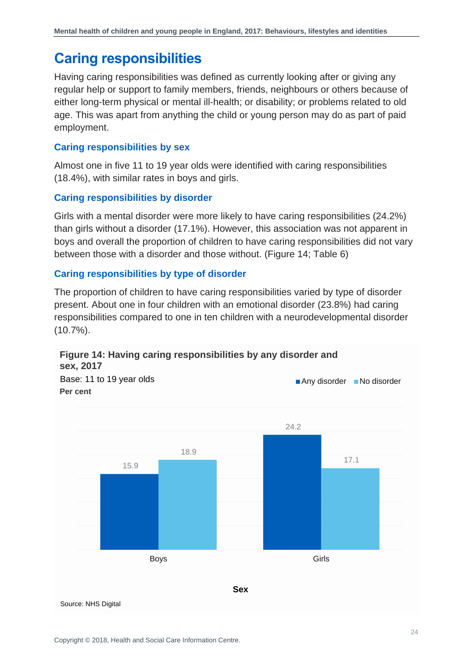### <span id="page-23-0"></span>**Caring responsibilities**

Having caring responsibilities was defined as currently looking after or giving any regular help or support to family members, friends, neighbours or others because of either long-term physical or mental ill-health; or disability; or problems related to old age. This was apart from anything the child or young person may do as part of paid employment.

### **Caring responsibilities by sex**

Almost one in five 11 to 19 year olds were identified with caring responsibilities (18.4%), with similar rates in boys and girls.

### **Caring responsibilities by disorder**

Girls with a mental disorder were more likely to have caring responsibilities (24.2%) than girls without a disorder (17.1%). However, this association was not apparent in boys and overall the proportion of children to have caring responsibilities did not vary between those with a disorder and those without. (Figure 14; Table 6)

### **Caring responsibilities by type of disorder**

The proportion of children to have caring responsibilities varied by type of disorder present. About one in four children with an emotional disorder (23.8%) had caring responsibilities compared to one in ten children with a neurodevelopmental disorder (10.7%).

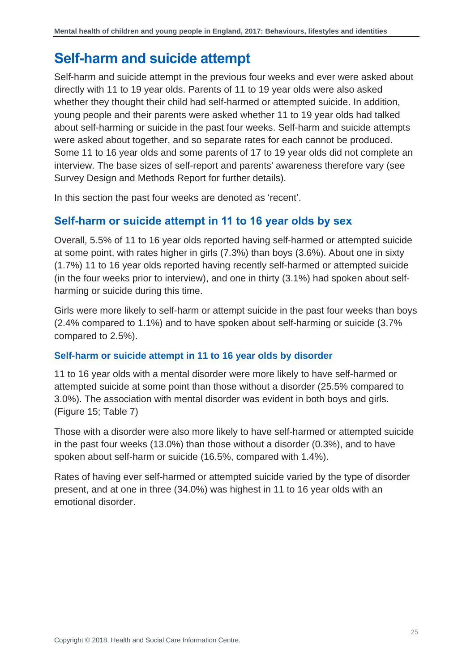### <span id="page-24-0"></span>**Self-harm and suicide attempt**

Self-harm and suicide attempt in the previous four weeks and ever were asked about directly with 11 to 19 year olds. Parents of 11 to 19 year olds were also asked whether they thought their child had self-harmed or attempted suicide. In addition, young people and their parents were asked whether 11 to 19 year olds had talked about self-harming or suicide in the past four weeks. Self-harm and suicide attempts were asked about together, and so separate rates for each cannot be produced. Some 11 to 16 year olds and some parents of 17 to 19 year olds did not complete an interview. The base sizes of self-report and parents' awareness therefore vary (see Survey Design and Methods Report for further details).

In this section the past four weeks are denoted as 'recent'.

### **Self-harm or suicide attempt in 11 to 16 year olds by sex**

Overall, 5.5% of 11 to 16 year olds reported having self-harmed or attempted suicide at some point, with rates higher in girls (7.3%) than boys (3.6%). About one in sixty (1.7%) 11 to 16 year olds reported having recently self-harmed or attempted suicide (in the four weeks prior to interview), and one in thirty (3.1%) had spoken about selfharming or suicide during this time.

Girls were more likely to self-harm or attempt suicide in the past four weeks than boys (2.4% compared to 1.1%) and to have spoken about self-harming or suicide (3.7% compared to 2.5%).

### **Self-harm or suicide attempt in 11 to 16 year olds by disorder**

11 to 16 year olds with a mental disorder were more likely to have self-harmed or attempted suicide at some point than those without a disorder (25.5% compared to 3.0%). The association with mental disorder was evident in both boys and girls. (Figure 15; Table 7)

Those with a disorder were also more likely to have self-harmed or attempted suicide in the past four weeks (13.0%) than those without a disorder (0.3%), and to have spoken about self-harm or suicide (16.5%, compared with 1.4%).

Rates of having ever self-harmed or attempted suicide varied by the type of disorder present, and at one in three (34.0%) was highest in 11 to 16 year olds with an emotional disorder.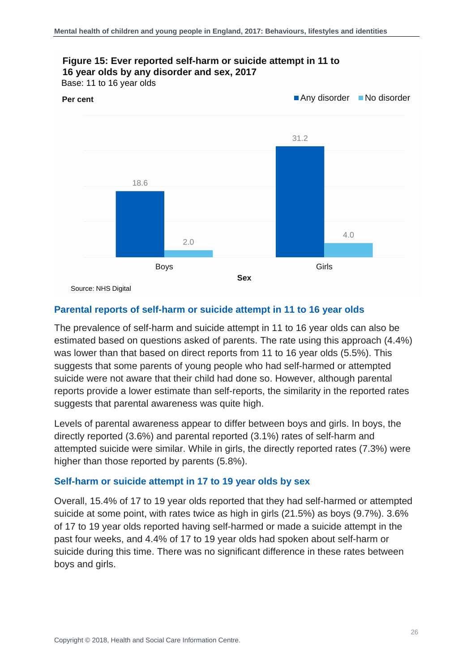

#### **Parental reports of self-harm or suicide attempt in 11 to 16 year olds**

The prevalence of self-harm and suicide attempt in 11 to 16 year olds can also be estimated based on questions asked of parents. The rate using this approach (4.4%) was lower than that based on direct reports from 11 to 16 year olds (5.5%). This suggests that some parents of young people who had self-harmed or attempted suicide were not aware that their child had done so. However, although parental reports provide a lower estimate than self-reports, the similarity in the reported rates suggests that parental awareness was quite high.

Levels of parental awareness appear to differ between boys and girls. In boys, the directly reported (3.6%) and parental reported (3.1%) rates of self-harm and attempted suicide were similar. While in girls, the directly reported rates (7.3%) were higher than those reported by parents (5.8%).

#### **Self-harm or suicide attempt in 17 to 19 year olds by sex**

Overall, 15.4% of 17 to 19 year olds reported that they had self-harmed or attempted suicide at some point, with rates twice as high in girls (21.5%) as boys (9.7%). 3.6% of 17 to 19 year olds reported having self-harmed or made a suicide attempt in the past four weeks, and 4.4% of 17 to 19 year olds had spoken about self-harm or suicide during this time. There was no significant difference in these rates between boys and girls.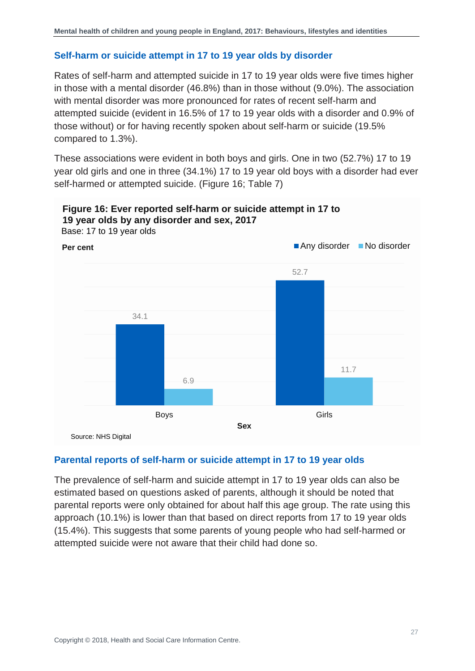### **Self-harm or suicide attempt in 17 to 19 year olds by disorder**

Rates of self-harm and attempted suicide in 17 to 19 year olds were five times higher in those with a mental disorder (46.8%) than in those without (9.0%). The association with mental disorder was more pronounced for rates of recent self-harm and attempted suicide (evident in 16.5% of 17 to 19 year olds with a disorder and 0.9% of those without) or for having recently spoken about self-harm or suicide (19.5% compared to 1.3%).

These associations were evident in both boys and girls. One in two (52.7%) 17 to 19 year old girls and one in three (34.1%) 17 to 19 year old boys with a disorder had ever self-harmed or attempted suicide. (Figure 16; Table 7)



### **Figure 16: Ever reported self-harm or suicide attempt in 17 to 19 year olds by any disorder and sex, 2017**

#### **Parental reports of self-harm or suicide attempt in 17 to 19 year olds**

The prevalence of self-harm and suicide attempt in 17 to 19 year olds can also be estimated based on questions asked of parents, although it should be noted that parental reports were only obtained for about half this age group. The rate using this approach (10.1%) is lower than that based on direct reports from 17 to 19 year olds (15.4%). This suggests that some parents of young people who had self-harmed or attempted suicide were not aware that their child had done so.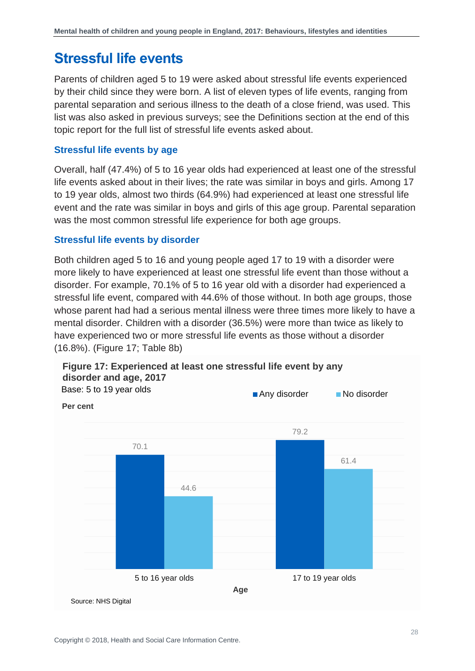### <span id="page-27-0"></span>**Stressful life events**

Parents of children aged 5 to 19 were asked about stressful life events experienced by their child since they were born. A list of eleven types of life events, ranging from parental separation and serious illness to the death of a close friend, was used. This list was also asked in previous surveys; see the Definitions section at the end of this topic report for the full list of stressful life events asked about.

### **Stressful life events by age**

Overall, half (47.4%) of 5 to 16 year olds had experienced at least one of the stressful life events asked about in their lives; the rate was similar in boys and girls. Among 17 to 19 year olds, almost two thirds (64.9%) had experienced at least one stressful life event and the rate was similar in boys and girls of this age group. Parental separation was the most common stressful life experience for both age groups.

#### **Stressful life events by disorder**

Both children aged 5 to 16 and young people aged 17 to 19 with a disorder were more likely to have experienced at least one stressful life event than those without a disorder. For example, 70.1% of 5 to 16 year old with a disorder had experienced a stressful life event, compared with 44.6% of those without. In both age groups, those whose parent had had a serious mental illness were three times more likely to have a mental disorder. Children with a disorder (36.5%) were more than twice as likely to have experienced two or more stressful life events as those without a disorder (16.8%). (Figure 17; Table 8b)



**Figure 17: Experienced at least one stressful life event by any disorder and age, 2017**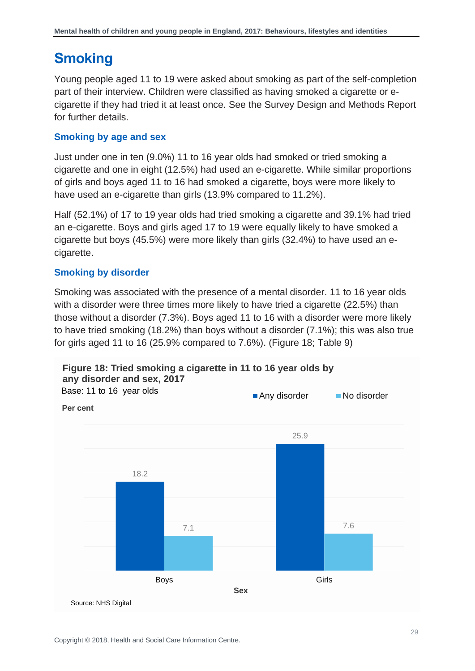### <span id="page-28-0"></span>**Smoking**

Young people aged 11 to 19 were asked about smoking as part of the self-completion part of their interview. Children were classified as having smoked a cigarette or ecigarette if they had tried it at least once. See the Survey Design and Methods Report for further details.

### **Smoking by age and sex**

Just under one in ten (9.0%) 11 to 16 year olds had smoked or tried smoking a cigarette and one in eight (12.5%) had used an e-cigarette. While similar proportions of girls and boys aged 11 to 16 had smoked a cigarette, boys were more likely to have used an e-cigarette than girls (13.9% compared to 11.2%).

Half (52.1%) of 17 to 19 year olds had tried smoking a cigarette and 39.1% had tried an e-cigarette. Boys and girls aged 17 to 19 were equally likely to have smoked a cigarette but boys (45.5%) were more likely than girls (32.4%) to have used an ecigarette.

### **Smoking by disorder**

Smoking was associated with the presence of a mental disorder. 11 to 16 year olds with a disorder were three times more likely to have tried a cigarette (22.5%) than those without a disorder (7.3%). Boys aged 11 to 16 with a disorder were more likely to have tried smoking (18.2%) than boys without a disorder (7.1%); this was also true for girls aged 11 to 16 (25.9% compared to 7.6%). (Figure 18; Table 9)



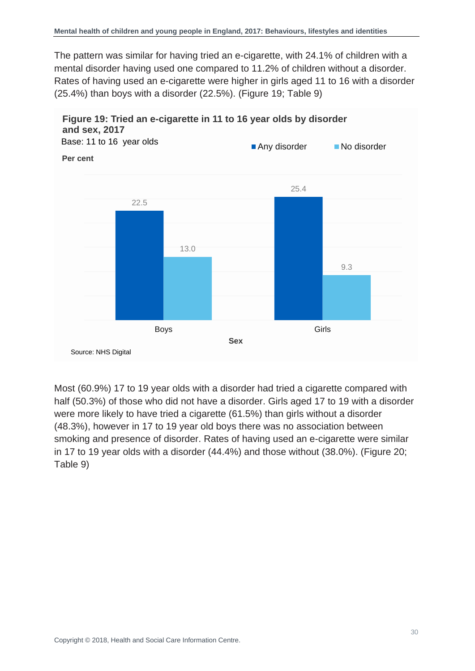The pattern was similar for having tried an e-cigarette, with 24.1% of children with a mental disorder having used one compared to 11.2% of children without a disorder. Rates of having used an e-cigarette were higher in girls aged 11 to 16 with a disorder (25.4%) than boys with a disorder (22.5%). (Figure 19; Table 9)



Most (60.9%) 17 to 19 year olds with a disorder had tried a cigarette compared with half (50.3%) of those who did not have a disorder. Girls aged 17 to 19 with a disorder were more likely to have tried a cigarette (61.5%) than girls without a disorder (48.3%), however in 17 to 19 year old boys there was no association between smoking and presence of disorder. Rates of having used an e-cigarette were similar in 17 to 19 year olds with a disorder (44.4%) and those without (38.0%). (Figure 20; Table 9)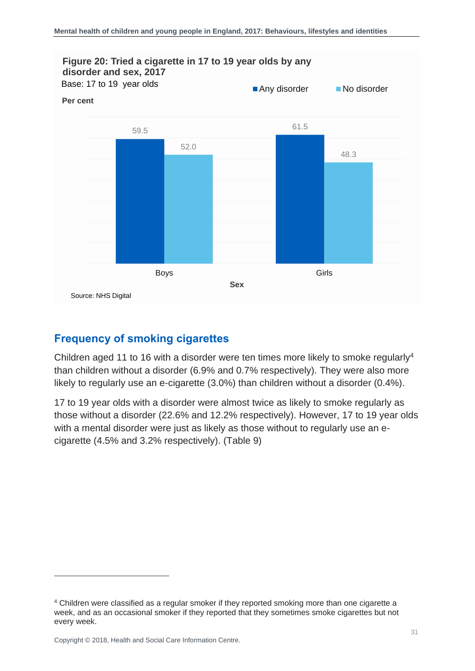

### **Frequency of smoking cigarettes**

Children aged 11 to 16 with a disorder were ten times more likely to smoke regularly<sup>4</sup> than children without a disorder (6.9% and 0.7% respectively). They were also more likely to regularly use an e-cigarette (3.0%) than children without a disorder (0.4%).

17 to 19 year olds with a disorder were almost twice as likely to smoke regularly as those without a disorder (22.6% and 12.2% respectively). However, 17 to 19 year olds with a mental disorder were just as likely as those without to regularly use an ecigarette (4.5% and 3.2% respectively). (Table 9)

<span id="page-30-0"></span>l

<sup>4</sup> Children were classified as a regular smoker if they reported smoking more than one cigarette a week, and as an occasional smoker if they reported that they sometimes smoke cigarettes but not every week.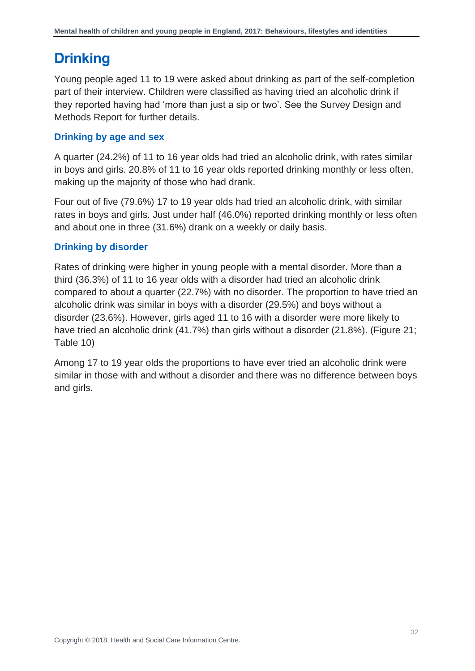### **Drinking**

Young people aged 11 to 19 were asked about drinking as part of the self-completion part of their interview. Children were classified as having tried an alcoholic drink if they reported having had 'more than just a sip or two'. See the Survey Design and Methods Report for further details.

### **Drinking by age and sex**

A quarter (24.2%) of 11 to 16 year olds had tried an alcoholic drink, with rates similar in boys and girls. 20.8% of 11 to 16 year olds reported drinking monthly or less often, making up the majority of those who had drank.

Four out of five (79.6%) 17 to 19 year olds had tried an alcoholic drink, with similar rates in boys and girls. Just under half (46.0%) reported drinking monthly or less often and about one in three (31.6%) drank on a weekly or daily basis.

### **Drinking by disorder**

Rates of drinking were higher in young people with a mental disorder. More than a third (36.3%) of 11 to 16 year olds with a disorder had tried an alcoholic drink compared to about a quarter (22.7%) with no disorder. The proportion to have tried an alcoholic drink was similar in boys with a disorder (29.5%) and boys without a disorder (23.6%). However, girls aged 11 to 16 with a disorder were more likely to have tried an alcoholic drink (41.7%) than girls without a disorder (21.8%). (Figure 21; Table 10)

Among 17 to 19 year olds the proportions to have ever tried an alcoholic drink were similar in those with and without a disorder and there was no difference between boys and girls.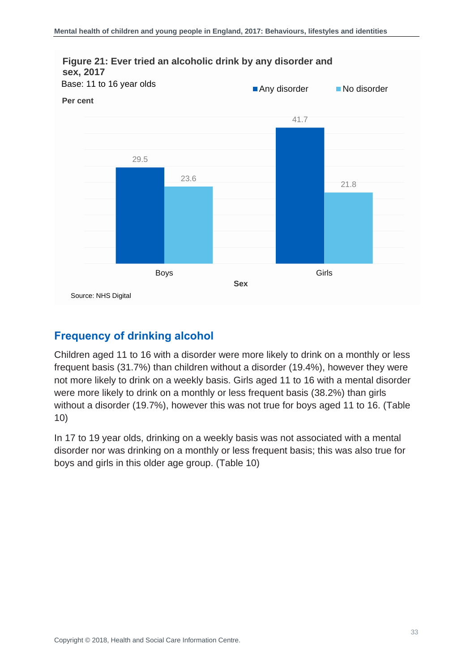

### **Frequency of drinking alcohol**

Children aged 11 to 16 with a disorder were more likely to drink on a monthly or less frequent basis (31.7%) than children without a disorder (19.4%), however they were not more likely to drink on a weekly basis. Girls aged 11 to 16 with a mental disorder were more likely to drink on a monthly or less frequent basis (38.2%) than girls without a disorder (19.7%), however this was not true for boys aged 11 to 16. (Table 10)

In 17 to 19 year olds, drinking on a weekly basis was not associated with a mental disorder nor was drinking on a monthly or less frequent basis; this was also true for boys and girls in this older age group. (Table 10)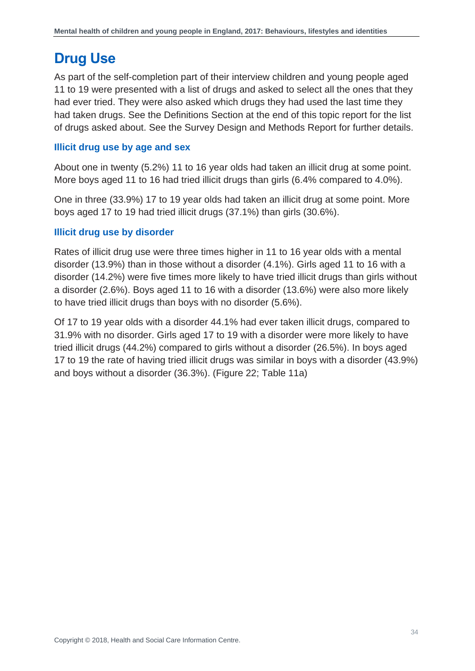### <span id="page-33-0"></span>**Drug Use**

As part of the self-completion part of their interview children and young people aged 11 to 19 were presented with a list of drugs and asked to select all the ones that they had ever tried. They were also asked which drugs they had used the last time they had taken drugs. See the Definitions Section at the end of this topic report for the list of drugs asked about. See the Survey Design and Methods Report for further details.

### **Illicit drug use by age and sex**

About one in twenty (5.2%) 11 to 16 year olds had taken an illicit drug at some point. More boys aged 11 to 16 had tried illicit drugs than girls (6.4% compared to 4.0%).

One in three (33.9%) 17 to 19 year olds had taken an illicit drug at some point. More boys aged 17 to 19 had tried illicit drugs (37.1%) than girls (30.6%).

### **Illicit drug use by disorder**

Rates of illicit drug use were three times higher in 11 to 16 year olds with a mental disorder (13.9%) than in those without a disorder (4.1%). Girls aged 11 to 16 with a disorder (14.2%) were five times more likely to have tried illicit drugs than girls without a disorder (2.6%). Boys aged 11 to 16 with a disorder (13.6%) were also more likely to have tried illicit drugs than boys with no disorder (5.6%).

Of 17 to 19 year olds with a disorder 44.1% had ever taken illicit drugs, compared to 31.9% with no disorder. Girls aged 17 to 19 with a disorder were more likely to have tried illicit drugs (44.2%) compared to girls without a disorder (26.5%). In boys aged 17 to 19 the rate of having tried illicit drugs was similar in boys with a disorder (43.9%) and boys without a disorder (36.3%). (Figure 22; Table 11a)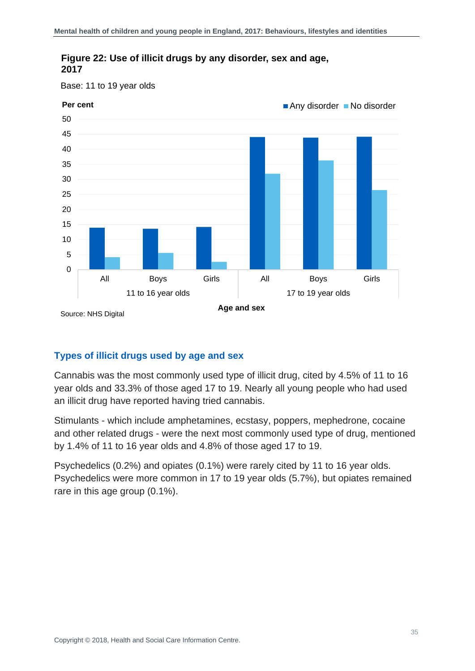

### **Figure 22: Use of illicit drugs by any disorder, sex and age, 2017**

Base: 11 to 19 year olds

### **Types of illicit drugs used by age and sex**

Cannabis was the most commonly used type of illicit drug, cited by 4.5% of 11 to 16 year olds and 33.3% of those aged 17 to 19. Nearly all young people who had used an illicit drug have reported having tried cannabis.

Stimulants - which include amphetamines, ecstasy, poppers, mephedrone, cocaine and other related drugs - were the next most commonly used type of drug, mentioned by 1.4% of 11 to 16 year olds and 4.8% of those aged 17 to 19.

Psychedelics (0.2%) and opiates (0.1%) were rarely cited by 11 to 16 year olds. Psychedelics were more common in 17 to 19 year olds (5.7%), but opiates remained rare in this age group (0.1%).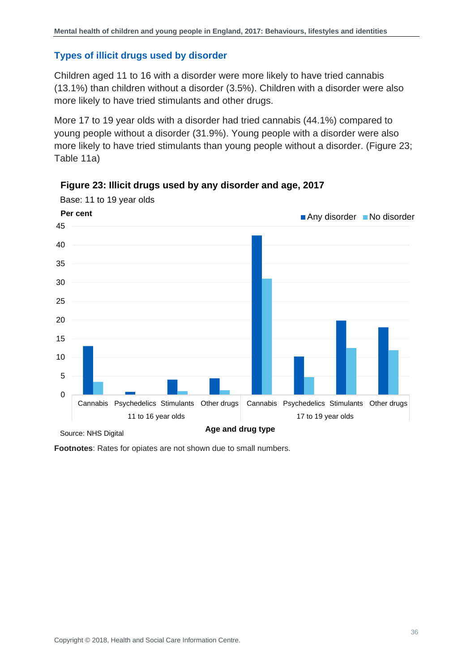### **Types of illicit drugs used by disorder**

Children aged 11 to 16 with a disorder were more likely to have tried cannabis (13.1%) than children without a disorder (3.5%). Children with a disorder were also more likely to have tried stimulants and other drugs.

More 17 to 19 year olds with a disorder had tried cannabis (44.1%) compared to young people without a disorder (31.9%). Young people with a disorder were also more likely to have tried stimulants than young people without a disorder. (Figure 23; Table 11a)



**Figure 23: Illicit drugs used by any disorder and age, 2017**

<span id="page-35-0"></span>**Footnotes**: Rates for opiates are not shown due to small numbers.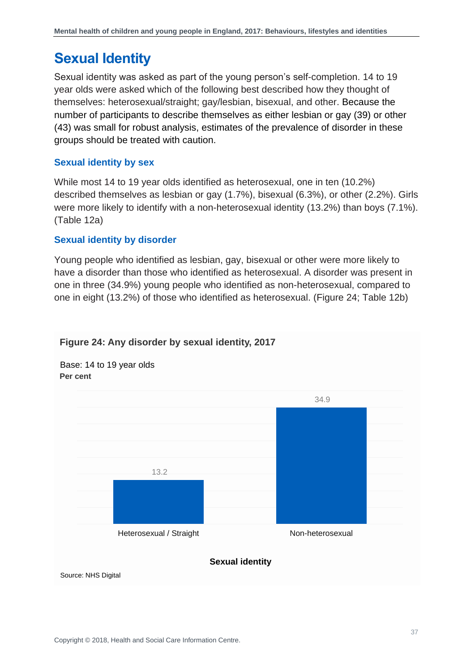### **Sexual Identity**

Sexual identity was asked as part of the young person's self-completion. 14 to 19 year olds were asked which of the following best described how they thought of themselves: heterosexual/straight; gay/lesbian, bisexual, and other. Because the number of participants to describe themselves as either lesbian or gay (39) or other (43) was small for robust analysis, estimates of the prevalence of disorder in these groups should be treated with caution.

### **Sexual identity by sex**

While most 14 to 19 year olds identified as heterosexual, one in ten (10.2%) described themselves as lesbian or gay (1.7%), bisexual (6.3%), or other (2.2%). Girls were more likely to identify with a non-heterosexual identity (13.2%) than boys (7.1%). (Table 12a)

### **Sexual identity by disorder**

Young people who identified as lesbian, gay, bisexual or other were more likely to have a disorder than those who identified as heterosexual. A disorder was present in one in three (34.9%) young people who identified as non-heterosexual, compared to one in eight (13.2%) of those who identified as heterosexual. (Figure 24; Table 12b)

<span id="page-36-0"></span>

#### **Figure 24: Any disorder by sexual identity, 2017**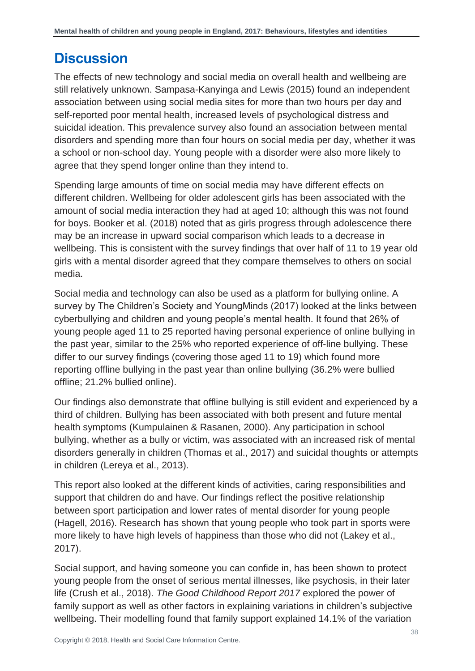### **Discussion**

The effects of new technology and social media on overall health and wellbeing are still relatively unknown. Sampasa-Kanyinga and Lewis (2015) found an independent association between using social media sites for more than two hours per day and self-reported poor mental health, increased levels of psychological distress and suicidal ideation. This prevalence survey also found an association between mental disorders and spending more than four hours on social media per day, whether it was a school or non-school day. Young people with a disorder were also more likely to agree that they spend longer online than they intend to.

Spending large amounts of time on social media may have different effects on different children. Wellbeing for older adolescent girls has been associated with the amount of social media interaction they had at aged 10; although this was not found for boys. Booker et al. (2018) noted that as girls progress through adolescence there may be an increase in upward social comparison which leads to a decrease in wellbeing. This is consistent with the survey findings that over half of 11 to 19 year old girls with a mental disorder agreed that they compare themselves to others on social media.

Social media and technology can also be used as a platform for bullying online. A survey by The Children's Society and YoungMinds (2017) looked at the links between cyberbullying and children and young people's mental health. It found that 26% of young people aged 11 to 25 reported having personal experience of online bullying in the past year, similar to the 25% who reported experience of off-line bullying. These differ to our survey findings (covering those aged 11 to 19) which found more reporting offline bullying in the past year than online bullying (36.2% were bullied offline; 21.2% bullied online).

Our findings also demonstrate that offline bullying is still evident and experienced by a third of children. Bullying has been associated with both present and future mental health symptoms (Kumpulainen & Rasanen, 2000). Any participation in school bullying, whether as a bully or victim, was associated with an increased risk of mental disorders generally in children (Thomas et al., 2017) and suicidal thoughts or attempts in children (Lereya et al., 2013).

This report also looked at the different kinds of activities, caring responsibilities and support that children do and have. Our findings reflect the positive relationship between sport participation and lower rates of mental disorder for young people (Hagell, 2016). Research has shown that young people who took part in sports were more likely to have high levels of happiness than those who did not (Lakey et al., 2017).

Social support, and having someone you can confide in, has been shown to protect young people from the onset of serious mental illnesses, like psychosis, in their later life (Crush et al., 2018). *The Good Childhood Report 2017* explored the power of family support as well as other factors in explaining variations in children's subjective wellbeing. Their modelling found that family support explained 14.1% of the variation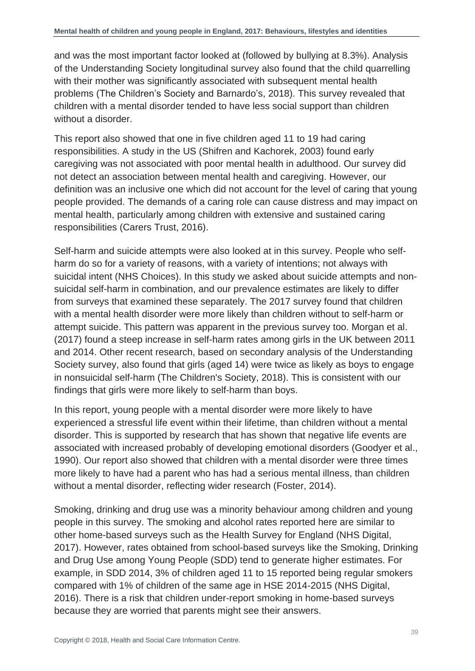and was the most important factor looked at (followed by bullying at 8.3%). Analysis of the Understanding Society longitudinal survey also found that the child quarrelling with their mother was significantly associated with subsequent mental health problems (The Children's Society and Barnardo's, 2018). This survey revealed that children with a mental disorder tended to have less social support than children without a disorder.

This report also showed that one in five children aged 11 to 19 had caring responsibilities. A study in the US (Shifren and Kachorek, 2003) found early caregiving was not associated with poor mental health in adulthood. Our survey did not detect an association between mental health and caregiving. However, our definition was an inclusive one which did not account for the level of caring that young people provided. The demands of a caring role can cause distress and may impact on mental health, particularly among children with extensive and sustained caring responsibilities (Carers Trust, 2016).

Self-harm and suicide attempts were also looked at in this survey. People who selfharm do so for a variety of reasons, with a variety of intentions; not always with suicidal intent (NHS Choices). In this study we asked about suicide attempts and nonsuicidal self-harm in combination, and our prevalence estimates are likely to differ from surveys that examined these separately. The 2017 survey found that children with a mental health disorder were more likely than children without to self-harm or attempt suicide. This pattern was apparent in the previous survey too. Morgan et al. (2017) found a steep increase in self-harm rates among girls in the UK between 2011 and 2014. Other recent research, based on secondary analysis of the Understanding Society survey, also found that girls (aged 14) were twice as likely as boys to engage in nonsuicidal self-harm (The Children's Society, 2018). This is consistent with our findings that girls were more likely to self-harm than boys.

In this report, young people with a mental disorder were more likely to have experienced a stressful life event within their lifetime, than children without a mental disorder. This is supported by research that has shown that negative life events are associated with increased probably of developing emotional disorders (Goodyer et al., 1990). Our report also showed that children with a mental disorder were three times more likely to have had a parent who has had a serious mental illness, than children without a mental disorder, reflecting wider research (Foster, 2014).

Smoking, drinking and drug use was a minority behaviour among children and young people in this survey. The smoking and alcohol rates reported here are similar to other home-based surveys such as the Health Survey for England (NHS Digital, 2017). However, rates obtained from school-based surveys like the Smoking, Drinking and Drug Use among Young People (SDD) tend to generate higher estimates. For example, in SDD 2014, 3% of children aged 11 to 15 reported being regular smokers compared with 1% of children of the same age in HSE 2014-2015 (NHS Digital, 2016). There is a risk that children under-report smoking in home-based surveys because they are worried that parents might see their answers.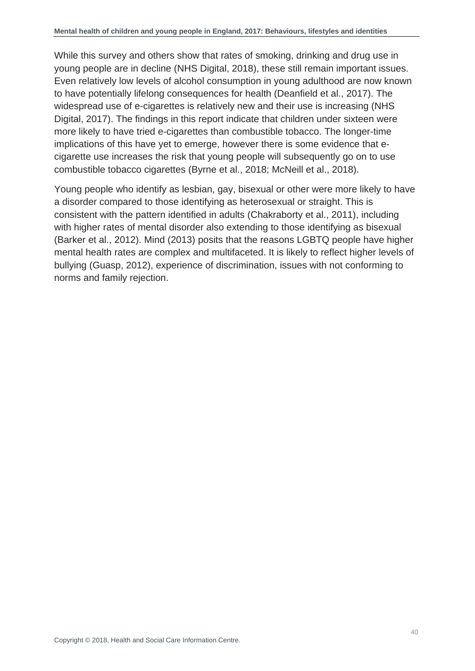While this survey and others show that rates of smoking, drinking and drug use in young people are in decline (NHS Digital, 2018), these still remain important issues. Even relatively low levels of alcohol consumption in young adulthood are now known to have potentially lifelong consequences for health (Deanfield et al., 2017). The widespread use of e-cigarettes is relatively new and their use is increasing (NHS Digital, 2017). The findings in this report indicate that children under sixteen were more likely to have tried e-cigarettes than combustible tobacco. The longer-time implications of this have yet to emerge, however there is some evidence that ecigarette use increases the risk that young people will subsequently go on to use combustible tobacco cigarettes (Byrne et al., 2018; McNeill et al., 2018).

Young people who identify as lesbian, gay, bisexual or other were more likely to have a disorder compared to those identifying as heterosexual or straight. This is consistent with the pattern identified in adults (Chakraborty et al., 2011), including with higher rates of mental disorder also extending to those identifying as bisexual (Barker et al., 2012). Mind (2013) posits that the reasons LGBTQ people have higher mental health rates are complex and multifaceted. It is likely to reflect higher levels of bullying (Guasp, 2012), experience of discrimination, issues with not conforming to norms and family rejection.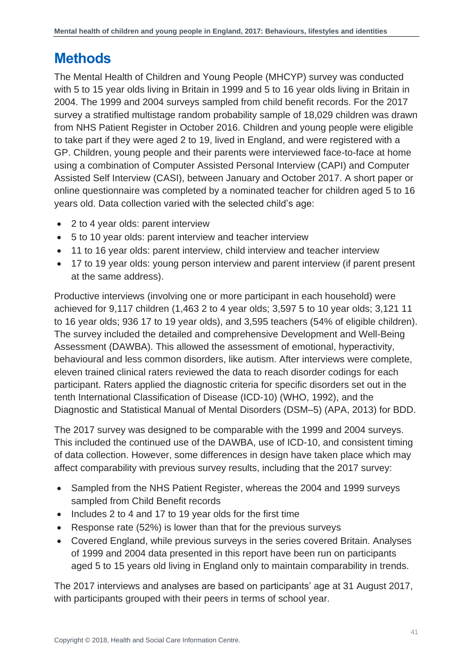### <span id="page-40-0"></span>**Methods**

The Mental Health of Children and Young People (MHCYP) survey was conducted with 5 to 15 year olds living in Britain in 1999 and 5 to 16 year olds living in Britain in 2004. The 1999 and 2004 surveys sampled from child benefit records. For the 2017 survey a stratified multistage random probability sample of 18,029 children was drawn from NHS Patient Register in October 2016. Children and young people were eligible to take part if they were aged 2 to 19, lived in England, and were registered with a GP. Children, young people and their parents were interviewed face-to-face at home using a combination of Computer Assisted Personal Interview (CAPI) and Computer Assisted Self Interview (CASI), between January and October 2017. A short paper or online questionnaire was completed by a nominated teacher for children aged 5 to 16 years old. Data collection varied with the selected child's age:

- 2 to 4 year olds: parent interview
- 5 to 10 year olds: parent interview and teacher interview
- 11 to 16 year olds: parent interview, child interview and teacher interview
- 17 to 19 year olds: young person interview and parent interview (if parent present at the same address).

Productive interviews (involving one or more participant in each household) were achieved for 9,117 children (1,463 2 to 4 year olds; 3,597 5 to 10 year olds; 3,121 11 to 16 year olds; 936 17 to 19 year olds), and 3,595 teachers (54% of eligible children). The survey included the detailed and comprehensive Development and Well-Being Assessment (DAWBA). This allowed the assessment of emotional, hyperactivity, behavioural and less common disorders, like autism. After interviews were complete, eleven trained clinical raters reviewed the data to reach disorder codings for each participant. Raters applied the diagnostic criteria for specific disorders set out in the tenth International Classification of Disease (ICD-10) (WHO, 1992), and the Diagnostic and Statistical Manual of Mental Disorders (DSM–5) (APA, 2013) for BDD.

The 2017 survey was designed to be comparable with the 1999 and 2004 surveys. This included the continued use of the DAWBA, use of ICD-10, and consistent timing of data collection. However, some differences in design have taken place which may affect comparability with previous survey results, including that the 2017 survey:

- Sampled from the NHS Patient Register, whereas the 2004 and 1999 surveys sampled from Child Benefit records
- Includes 2 to 4 and 17 to 19 year olds for the first time
- Response rate (52%) is lower than that for the previous surveys
- Covered England, while previous surveys in the series covered Britain. Analyses of 1999 and 2004 data presented in this report have been run on participants aged 5 to 15 years old living in England only to maintain comparability in trends.

The 2017 interviews and analyses are based on participants' age at 31 August 2017, with participants grouped with their peers in terms of school year.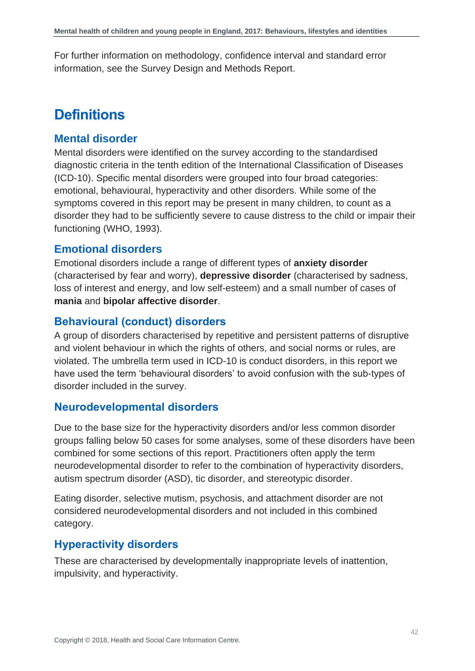<span id="page-41-0"></span>For further information on methodology, confidence interval and standard error information, see the Survey Design and Methods Report.

### **Definitions**

### **Mental disorder**

Mental disorders were identified on the survey according to the standardised diagnostic criteria in the tenth edition of the International Classification of Diseases (ICD-10). Specific mental disorders were grouped into four broad categories: emotional, behavioural, hyperactivity and other disorders. While some of the symptoms covered in this report may be present in many children, to count as a disorder they had to be sufficiently severe to cause distress to the child or impair their functioning (WHO, 1993).

### **Emotional disorders**

Emotional disorders include a range of different types of **anxiety disorder** (characterised by fear and worry), **depressive disorder** (characterised by sadness, loss of interest and energy, and low self-esteem) and a small number of cases of **mania** and **bipolar affective disorder**.

### **Behavioural (conduct) disorders**

A group of disorders characterised by repetitive and persistent patterns of disruptive and violent behaviour in which the rights of others, and social norms or rules, are violated. The umbrella term used in ICD-10 is conduct disorders, in this report we have used the term 'behavioural disorders' to avoid confusion with the sub-types of disorder included in the survey.

### **Neurodevelopmental disorders**

Due to the base size for the hyperactivity disorders and/or less common disorder groups falling below 50 cases for some analyses, some of these disorders have been combined for some sections of this report. Practitioners often apply the term neurodevelopmental disorder to refer to the combination of hyperactivity disorders, autism spectrum disorder (ASD), tic disorder, and stereotypic disorder.

Eating disorder, selective mutism, psychosis, and attachment disorder are not considered neurodevelopmental disorders and not included in this combined category.

### **Hyperactivity disorders**

These are characterised by developmentally inappropriate levels of inattention, impulsivity, and hyperactivity.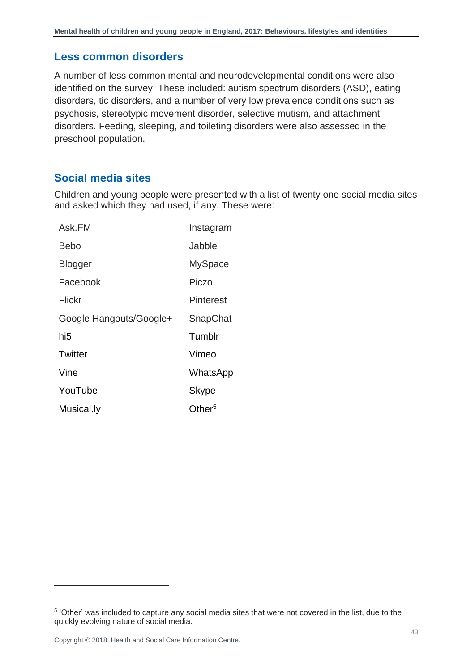### **Less common disorders**

A number of less common mental and neurodevelopmental conditions were also identified on the survey. These included: autism spectrum disorders (ASD), eating disorders, tic disorders, and a number of very low prevalence conditions such as psychosis, stereotypic movement disorder, selective mutism, and attachment disorders. Feeding, sleeping, and toileting disorders were also assessed in the preschool population.

### **Social media sites**

Children and young people were presented with a list of twenty one social media sites and asked which they had used, if any. These were:

| Ask.FM                  | Instagram          |
|-------------------------|--------------------|
| Bebo                    | Jabble             |
| Blogger                 | <b>MySpace</b>     |
| Facebook                | Piczo              |
| Flickr                  | Pinterest          |
| Google Hangouts/Google+ | SnapChat           |
| hi5                     | Tumblr             |
| Twitter                 | Vimeo              |
| Vine                    | WhatsApp           |
| YouTube                 | Skype              |
| Musical.ly              | Other <sup>5</sup> |

l

<sup>&</sup>lt;sup>5</sup> 'Other' was included to capture any social media sites that were not covered in the list, due to the quickly evolving nature of social media.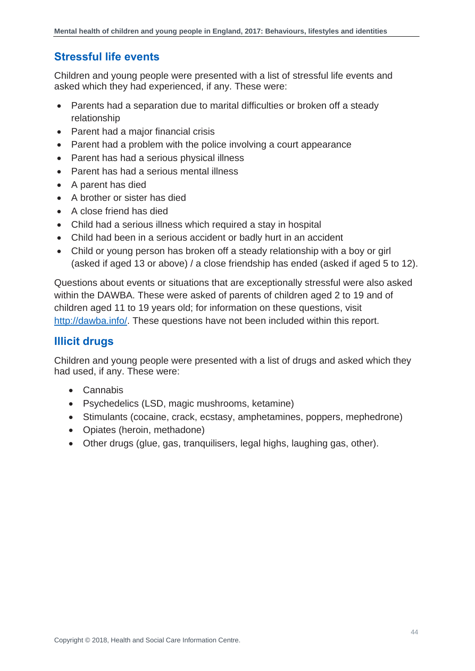### **Stressful life events**

Children and young people were presented with a list of stressful life events and asked which they had experienced, if any. These were:

- Parents had a separation due to marital difficulties or broken off a steady relationship
- Parent had a major financial crisis
- Parent had a problem with the police involving a court appearance
- Parent has had a serious physical illness
- Parent has had a serious mental illness
- A parent has died
- A brother or sister has died
- A close friend has died
- Child had a serious illness which required a stay in hospital
- Child had been in a serious accident or badly hurt in an accident
- Child or young person has broken off a steady relationship with a boy or girl (asked if aged 13 or above) / a close friendship has ended (asked if aged 5 to 12).

Questions about events or situations that are exceptionally stressful were also asked within the DAWBA. These were asked of parents of children aged 2 to 19 and of children aged 11 to 19 years old; for information on these questions, visit [http://dawba.info/.](http://dawba.info/) These questions have not been included within this report.

### **Illicit drugs**

Children and young people were presented with a list of drugs and asked which they had used, if any. These were:

- Cannabis
- Psychedelics (LSD, magic mushrooms, ketamine)
- Stimulants (cocaine, crack, ecstasy, amphetamines, poppers, mephedrone)
- Opiates (heroin, methadone)
- Other drugs (glue, gas, tranquilisers, legal highs, laughing gas, other).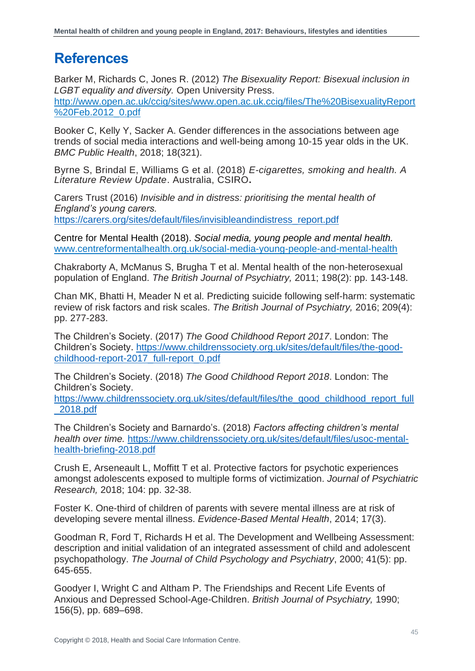### <span id="page-44-0"></span>**References**

Barker M, Richards C, Jones R. (2012) *The Bisexuality Report: Bisexual inclusion in LGBT equality and diversity.* Open University Press. [http://www.open.ac.uk/ccig/sites/www.open.ac.uk.ccig/files/The%20BisexualityReport](http://www.open.ac.uk/ccig/sites/www.open.ac.uk.ccig/files/The%20BisexualityReport%20Feb.2012_0.pdf) [%20Feb.2012\\_0.pdf](http://www.open.ac.uk/ccig/sites/www.open.ac.uk.ccig/files/The%20BisexualityReport%20Feb.2012_0.pdf)

Booker C, Kelly Y, Sacker A. Gender differences in the associations between age trends of social media interactions and well-being among 10-15 year olds in the UK. *BMC Public Health*, 2018; 18(321).

Byrne S, Brindal E, Williams G et al. (2018) *E-cigarettes, smoking and health. A Literature Review Update*. Australia, CSIRO**.** 

Carers Trust (2016) *Invisible and in distress: prioritising the mental health of England's young carers.* 

[https://carers.org/sites/default/files/invisibleandindistress\\_report.pdf](https://carers.org/sites/default/files/invisibleandindistress_report.pdf)

Centre for Mental Health (2018). *Social media, young people and mental health.* [www.centreformentalhealth.org.uk/social-media-young-people-and-mental-health](http://www.centreformentalhealth.org.uk/social-media-young-people-and-mental-health)

Chakraborty A, McManus S, Brugha T et al. Mental health of the non-heterosexual population of England. *The British Journal of Psychiatry,* 2011; 198(2): pp. 143-148.

Chan MK, Bhatti H, Meader N et al. Predicting suicide following self-harm: systematic review of risk factors and risk scales. *The British Journal of Psychiatry,* 2016; 209(4): pp. 277-283.

The Children's Society. (2017) *The Good Childhood Report 2017*. London: The Children's Society. [https://www.childrenssociety.org.uk/sites/default/files/the-good](https://www.childrenssociety.org.uk/sites/default/files/the-good-childhood-report-2017_full-report_0.pdf)[childhood-report-2017\\_full-report\\_0.pdf](https://www.childrenssociety.org.uk/sites/default/files/the-good-childhood-report-2017_full-report_0.pdf)

The Children's Society. (2018) *The Good Childhood Report 2018*. London: The Children's Society.

[https://www.childrenssociety.org.uk/sites/default/files/the\\_good\\_childhood\\_report\\_full](https://www.childrenssociety.org.uk/sites/default/files/the_good_childhood_report_full_2018.pdf) [\\_2018.pdf](https://www.childrenssociety.org.uk/sites/default/files/the_good_childhood_report_full_2018.pdf)

The Children's Society and Barnardo's. (2018) *Factors affecting children's mental health over time.* [https://www.childrenssociety.org.uk/sites/default/files/usoc-mental](https://www.childrenssociety.org.uk/sites/default/files/usoc-mental-health-briefing-2018.pdf)[health-briefing-2018.pdf](https://www.childrenssociety.org.uk/sites/default/files/usoc-mental-health-briefing-2018.pdf)

Crush E, Arseneault L, Moffitt T et al. Protective factors for psychotic experiences amongst adolescents exposed to multiple forms of victimization. *Journal of Psychiatric Research,* 2018; 104: pp. 32-38.

Foster K. One-third of children of parents with severe mental illness are at risk of developing severe mental illness. *Evidence-Based Mental Health*, 2014; 17(3).

Goodman R, Ford T, Richards H et al. The Development and Wellbeing Assessment: description and initial validation of an integrated assessment of child and adolescent psychopathology. *The Journal of Child Psychology and Psychiatry*, 2000; 41(5): pp. 645-655.

Goodyer I, Wright C and Altham P. The Friendships and Recent Life Events of Anxious and Depressed School-Age-Children. *British Journal of Psychiatry,* 1990; 156(5), pp. 689–698.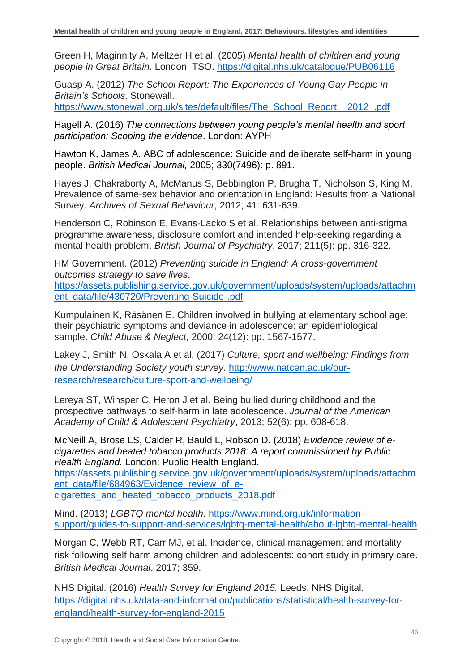Green H, Maginnity A, Meltzer H et al. (2005) *Mental health of children and young people in Great Britain*. London, TSO.<https://digital.nhs.uk/catalogue/PUB06116>

Guasp A. (2012) *The School Report: The Experiences of Young Gay People in Britain's Schools*. Stonewall. [https://www.stonewall.org.uk/sites/default/files/The\\_School\\_Report\\_\\_2012\\_.pdf](https://www.stonewall.org.uk/sites/default/files/The_School_Report__2012_.pdf)

Hagell A. (2016) *The connections between young people's mental health and sport participation: Scoping the evidence*. London: AYPH

Hawton K, James A. ABC of adolescence: Suicide and deliberate self-harm in young people. *British Medical Journal,* 2005; 330(7496): p. 891.

Hayes J, Chakraborty A, McManus S, Bebbington P, Brugha T, Nicholson S, King M. Prevalence of same-sex behavior and orientation in England: Results from a National Survey. *Archives of Sexual Behaviour*, 2012; 41: 631-639.

Henderson C, Robinson E, Evans-Lacko S et al. Relationships between anti-stigma programme awareness, disclosure comfort and intended help-seeking regarding a mental health problem. *British Journal of Psychiatry*, 2017; 211(5): pp. 316-322.

HM Government. (2012) *Preventing suicide in England: A cross-government outcomes strategy to save lives*.

[https://assets.publishing.service.gov.uk/government/uploads/system/uploads/attachm](https://assets.publishing.service.gov.uk/government/uploads/system/uploads/attachment_data/file/430720/Preventing-Suicide-.pdf) [ent\\_data/file/430720/Preventing-Suicide-.pdf](https://assets.publishing.service.gov.uk/government/uploads/system/uploads/attachment_data/file/430720/Preventing-Suicide-.pdf)

Kumpulainen K, Räsänen E. Children involved in bullying at elementary school age: their psychiatric symptoms and deviance in adolescence: an epidemiological sample. *Child Abuse & Neglect*, 2000; 24(12): pp. 1567-1577.

Lakey J, Smith N, Oskala A et al. (2017) *Culture, sport and wellbeing: Findings from the Understanding Society youth survey.* [http://www.natcen.ac.uk/our](http://www.natcen.ac.uk/our-research/research/culture-sport-and-wellbeing/)[research/research/culture-sport-and-wellbeing/](http://www.natcen.ac.uk/our-research/research/culture-sport-and-wellbeing/)

Lereya ST, Winsper C, Heron J et al. Being bullied during childhood and the prospective pathways to self-harm in late adolescence. *Journal of the American Academy of Child & Adolescent Psychiatry*, 2013; 52(6): pp. 608-618.

McNeill A, Brose LS, Calder R, Bauld L, Robson D. (2018) *Evidence review of ecigarettes and heated tobacco products 2018: A report commissioned by Public Health England.* London: Public Health England. [https://assets.publishing.service.gov.uk/government/uploads/system/uploads/attachm](https://assets.publishing.service.gov.uk/government/uploads/system/uploads/attachment_data/file/684963/Evidence_review_of_e-cigarettes_and_heated_tobacco_products_2018.pdf) [ent\\_data/file/684963/Evidence\\_review\\_of\\_e](https://assets.publishing.service.gov.uk/government/uploads/system/uploads/attachment_data/file/684963/Evidence_review_of_e-cigarettes_and_heated_tobacco_products_2018.pdf)[cigarettes\\_and\\_heated\\_tobacco\\_products\\_2018.pdf](https://assets.publishing.service.gov.uk/government/uploads/system/uploads/attachment_data/file/684963/Evidence_review_of_e-cigarettes_and_heated_tobacco_products_2018.pdf)

Mind. (2013) *LGBTQ mental health.* [https://www.mind.org.uk/information](https://www.mind.org.uk/information-support/guides-to-support-and-services/lgbtq-mental-health/about-lgbtq-mental-health)[support/guides-to-support-and-services/lgbtq-mental-health/about-lgbtq-mental-health](https://www.mind.org.uk/information-support/guides-to-support-and-services/lgbtq-mental-health/about-lgbtq-mental-health)

Morgan C, Webb RT, Carr MJ, et al. Incidence, clinical management and mortality risk following self harm among children and adolescents: cohort study in primary care. *British Medical Journal*, 2017; 359.

NHS Digital. (2016) *Health Survey for England 2015.* Leeds, NHS Digital. [https://digital.nhs.uk/data-and-information/publications/statistical/health-survey-for](https://digital.nhs.uk/data-and-information/publications/statistical/health-survey-for-england/health-survey-for-england-2015)[england/health-survey-for-england-2015](https://digital.nhs.uk/data-and-information/publications/statistical/health-survey-for-england/health-survey-for-england-2015)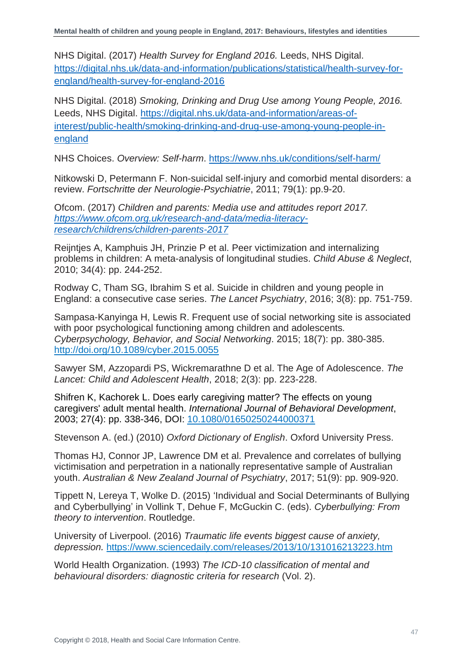NHS Digital. (2017) *Health Survey for England 2016.* Leeds, NHS Digital. [https://digital.nhs.uk/data-and-information/publications/statistical/health-survey-for](https://digital.nhs.uk/data-and-information/publications/statistical/health-survey-for-england/health-survey-for-england-2016)[england/health-survey-for-england-2016](https://digital.nhs.uk/data-and-information/publications/statistical/health-survey-for-england/health-survey-for-england-2016)

NHS Digital. (2018) *Smoking, Drinking and Drug Use among Young People, 2016.*  Leeds, NHS Digital. [https://digital.nhs.uk/data-and-information/areas-of](https://digital.nhs.uk/data-and-information/areas-of-interest/public-health/smoking-drinking-and-drug-use-among-young-people-in-england)[interest/public-health/smoking-drinking-and-drug-use-among-young-people-in](https://digital.nhs.uk/data-and-information/areas-of-interest/public-health/smoking-drinking-and-drug-use-among-young-people-in-england)[england](https://digital.nhs.uk/data-and-information/areas-of-interest/public-health/smoking-drinking-and-drug-use-among-young-people-in-england)

NHS Choices. *Overview: Self-harm*.<https://www.nhs.uk/conditions/self-harm/>

Nitkowski D, Petermann F. Non-suicidal self-injury and comorbid mental disorders: a review. *Fortschritte der Neurologie-Psychiatrie*, 2011; 79(1): pp.9-20.

Ofcom. (2017) *Children and parents: Media use and attitudes report 2017. [https://www.ofcom.org.uk/research-and-data/media-literacy](https://www.ofcom.org.uk/research-and-data/media-literacy-research/childrens/children-parents-2017)[research/childrens/children-parents-2017](https://www.ofcom.org.uk/research-and-data/media-literacy-research/childrens/children-parents-2017)*

Reijntjes A, Kamphuis JH, Prinzie P et al. Peer victimization and internalizing problems in children: A meta-analysis of longitudinal studies. *Child Abuse & Neglect*, 2010; 34(4): pp. 244-252.

Rodway C, Tham SG, Ibrahim S et al. Suicide in children and young people in England: a consecutive case series. *The Lancet Psychiatry*, 2016; 3(8): pp. 751-759.

Sampasa-Kanyinga H, Lewis R. Frequent use of social networking site is associated with poor psychological functioning among children and adolescents*. Cyberpsychology, Behavior, and Social Networking*. 2015; 18(7): pp. 380-385. [http://doi.org/10.1089/cyber.2015.0055](https://doi.org/10.1089/cyber.2015.0055)

Sawyer SM, Azzopardi PS, Wickremarathne D et al. The Age of Adolescence. *The Lancet: Child and Adolescent Health*, 2018; 2(3): pp. 223-228.

Shifren K, Kachorek L. Does early caregiving matter? The effects on young caregivers' adult mental health. *International Journal of Behavioral Development*, 2003; 27(4): pp. 338-346, DOI: [10.1080/01650250244000371](https://doi.org/10.1080/01650250244000371)

Stevenson A. (ed.) (2010) *Oxford Dictionary of English*. Oxford University Press.

Thomas HJ, Connor JP, Lawrence DM et al. Prevalence and correlates of bullying victimisation and perpetration in a nationally representative sample of Australian youth. *Australian & New Zealand Journal of Psychiatry*, 2017; 51(9): pp. 909-920.

Tippett N, Lereya T, Wolke D. (2015) 'Individual and Social Determinants of Bullying and Cyberbullying' in Vollink T, Dehue F, McGuckin C. (eds). *Cyberbullying: From theory to intervention*. Routledge.

University of Liverpool. (2016) *Traumatic life events biggest cause of anxiety, depression.* <https://www.sciencedaily.com/releases/2013/10/131016213223.htm>

World Health Organization. (1993) *The ICD-10 classification of mental and behavioural disorders: diagnostic criteria for research* (Vol. 2).